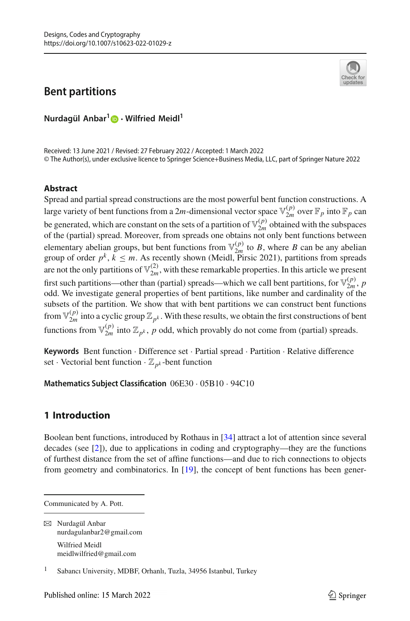# **Bent partitions**



**Nurdagül Anbar[1](http://orcid.org/0000-0003-4600-5088) · Wilfried Meidl1**

Received: 13 June 2021 / Revised: 27 February 2022 / Accepted: 1 March 2022 © The Author(s), under exclusive licence to Springer Science+Business Media, LLC, part of Springer Nature 2022

### **Abstract**

Spread and partial spread constructions are the most powerful bent function constructions. A large variety of bent functions from a 2*m*-dimensional vector space  $\mathbb{V}_{2m}^{(p)}$  over  $\mathbb{F}_p$  into  $\mathbb{F}_p$  can be generated, which are constant on the sets of a partition of  $\mathbb{V}_{2m}^{(p)}$  obtained with the subspaces of the (partial) spread. Moreover, from spreads one obtains not only bent functions between elementary abelian groups, but bent functions from  $\mathbb{V}_{2m}^{(p)}$  to *B*, where *B* can be any abelian group of order  $p^k$ ,  $k \leq m$ . As recently shown (Meidl, Pirsic 2021), partitions from spreads are not the only partitions of  $\mathbb{V}_{2m}^{(2)}$ , with these remarkable properties. In this article we present first such partitions—other than (partial) spreads—which we call bent partitions, for  $\mathbb{V}_{2m}^{(p)}$ , *p* odd. We investigate general properties of bent partitions, like number and cardinality of the subsets of the partition. We show that with bent partitions we can construct bent functions from  $\mathbb{V}_{2m}^{(p)}$  into a cyclic group  $\mathbb{Z}_{p^k}$ . With these results, we obtain the first constructions of bent functions from  $\mathbb{V}_{2m}^{(p)}$  into  $\mathbb{Z}_{p^k}$ , *p* odd, which provably do not come from (partial) spreads.

**Keywords** Bent function · Difference set · Partial spread · Partition · Relative difference set · Vectorial bent function  $\cdot \mathbb{Z}_{p^k}$ -bent function

**Mathematics Subject Classification** 06E30 · 05B10 · 94C10

## **1 Introduction**

Boolean bent functions, introduced by Rothaus in [\[34](#page-20-0)] attract a lot of attention since several decades (see [\[2](#page-19-0)]), due to applications in coding and cryptography—they are the functions of furthest distance from the set of affine functions—and due to rich connections to objects from geometry and combinatorics. In [\[19](#page-19-1)], the concept of bent functions has been gener-

Communicated by A. Pott.

 $\boxtimes$  Nurdagül Anbar nurdagulanbar2@gmail.com Wilfried Meidl meidlwilfried@gmail.com

<sup>1</sup> Sabancı University, MDBF, Orhanlı, Tuzla, 34956 Istanbul, Turkey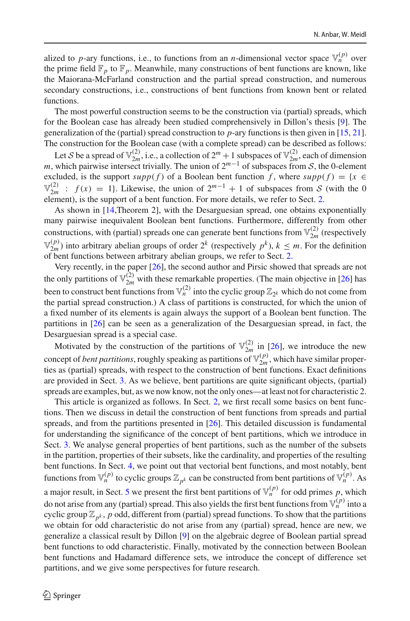alized to *p*-ary functions, i.e., to functions from an *n*-dimensional vector space  $\mathbb{V}_n^{(p)}$  over the prime field  $\mathbb{F}_p$  to  $\mathbb{F}_p$ . Meanwhile, many constructions of bent functions are known, like the Maiorana-McFarland construction and the partial spread construction, and numerous secondary constructions, i.e., constructions of bent functions from known bent or related functions.

The most powerful construction seems to be the construction via (partial) spreads, which for the Boolean case has already been studied comprehensively in Dillon's thesis [\[9\]](#page-19-2). The generalization of the (partial) spread construction to *p*-ary functions is then given in [\[15,](#page-19-3) [21\]](#page-19-4). The construction for the Boolean case (with a complete spread) can be described as follows:

Let *S* be a spread of  $\mathbb{V}_{2m}^{(2)}$ , i.e., a collection of  $2^m + 1$  subspaces of  $\mathbb{V}_{2m}^{(2)}$ , each of dimension *m*, which pairwise intersect trivially. The union of  $2^{m-1}$  of subspaces from *S*, the 0-element excluded, is the support  $supp(f)$  of a Boolean bent function f, where  $supp(f) = \{x \in$  $\mathbb{V}_{2m}^{(2)}$  :  $f(x) = 1$ . Likewise, the union of  $2^{m-1} + 1$  of subspaces from *S* (with the 0 element), is the support of a bent function. For more details, we refer to Sect. [2.](#page-2-0)

As shown in [\[14,](#page-19-5)Theorem 2], with the Desarguesian spread, one obtains exponentially many pairwise inequivalent Boolean bent functions. Furthermore, differently from other constructions, with (partial) spreads one can generate bent functions from  $\mathbb{V}_{2m}^{(2)}$  (respectively  $\mathbb{V}_{2m}^{(p)}$ ) into arbitrary abelian groups of order  $2^k$  (respectively  $p^k$ ),  $k \leq m$ . For the definition of bent functions between arbitrary abelian groups, we refer to Sect. [2.](#page-2-0)

Very recently, in the paper [\[26\]](#page-19-6), the second author and Pirsic showed that spreads are not the only partitions of  $\mathbb{V}_{2m}^{(2)}$  with these remarkable properties. (The main objective in [\[26](#page-19-6)] has been to construct bent functions from  $\mathbb{V}_n^{(2)}$  into the cyclic group  $\mathbb{Z}_{2^k}$  which do not come from the partial spread construction.) A class of partitions is constructed, for which the union of a fixed number of its elements is again always the support of a Boolean bent function. The partitions in [\[26\]](#page-19-6) can be seen as a generalization of the Desarguesian spread, in fact, the Desarguesian spread is a special case.

Motivated by the construction of the partitions of  $\mathbb{V}_{2m}^{(2)}$  in [\[26\]](#page-19-6), we introduce the new concept of *bent partitions*, roughly speaking as partitions of  $\mathbb{V}_{2m}^{(p)}$ , which have similar properties as (partial) spreads, with respect to the construction of bent functions. Exact definitions are provided in Sect. [3.](#page-6-0) As we believe, bent partitions are quite significant objects, (partial) spreads are examples, but, as we now know, not the only ones—at least not for characteristic 2.

This article is organized as follows. In Sect. [2,](#page-2-0) we first recall some basics on bent functions. Then we discuss in detail the construction of bent functions from spreads and partial spreads, and from the partitions presented in [\[26](#page-19-6)]. This detailed discussion is fundamental for understanding the significance of the concept of bent partitions, which we introduce in Sect. [3.](#page-6-0) We analyse general properties of bent partitions, such as the number of the subsets in the partition, properties of their subsets, like the cardinality, and properties of the resulting bent functions. In Sect. [4,](#page-10-0) we point out that vectorial bent functions, and most notably, bent functions from  $\mathbb{V}_n^{(p)}$  to cyclic groups  $\mathbb{Z}_{p^k}$  can be constructed from bent partitions of  $\mathbb{V}_n^{(p)}$ . As a major result, in Sect. [5](#page-12-0) we present the first bent partitions of  $\mathbb{V}_n^{(p)}$  for odd primes p, which do not arise from any (partial) spread. This also yields the first bent functions from  $\mathbb{V}_n^{(p)}$  into a cyclic group  $\mathbb{Z}_{p^k}$ , *p* odd, different from (partial) spread functions. To show that the partitions we obtain for odd characteristic do not arise from any (partial) spread, hence are new, we generalize a classical result by Dillon [\[9](#page-19-2)] on the algebraic degree of Boolean partial spread bent functions to odd characteristic. Finally, motivated by the connection between Boolean bent functions and Hadamard difference sets, we introduce the concept of difference set partitions, and we give some perspectives for future research.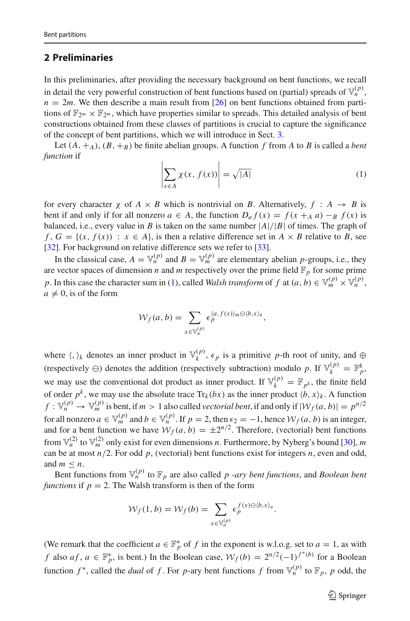### <span id="page-2-0"></span>**2 Preliminaries**

In this preliminaries, after providing the necessary background on bent functions, we recall in detail the very powerful construction of bent functions based on (partial) spreads of  $\mathbb{V}_n^{(p)}$ ,  $n = 2m$ . We then describe a main result from [\[26\]](#page-19-6) on bent functions obtained from partitions of  $\mathbb{F}_{2^m} \times \mathbb{F}_{2^m}$ , which have properties similar to spreads. This detailed analysis of bent constructions obtained from these classes of partitions is crucial to capture the significance of the concept of bent partitions, which we will introduce in Sect. [3.](#page-6-0)

Let  $(A, +_A)$ ,  $(B, +_B)$  be finite abelian groups. A function *f* from *A* to *B* is called a *bent function* if

<span id="page-2-1"></span>
$$
\left| \sum_{x \in A} \chi(x, f(x)) \right| = \sqrt{|A|} \tag{1}
$$

for every character  $\chi$  of  $A \times B$  which is nontrivial on *B*. Alternatively,  $f : A \rightarrow B$  is bent if and only if for all nonzero  $a \in A$ , the function  $D_a f(x) = f(x +_A a) -_B f(x)$  is balanced, i.e., every value in *B* is taken on the same number  $|A|/|B|$  of times. The graph of *f*,  $G = \{(x, f(x)) : x \in A\}$ , is then a relative difference set in  $A \times B$  relative to *B*, see [\[32\]](#page-20-1). For background on relative difference sets we refer to [\[33](#page-20-2)].

In the classical case,  $A = \mathbb{V}_n^{(p)}$  and  $B = \mathbb{V}_m^{(p)}$  are elementary abelian *p*-groups, i.e., they are vector spaces of dimension *n* and *m* respectively over the prime field  $\mathbb{F}_p$  for some prime *p*. In this case the character sum in [\(1\)](#page-2-1), called *Walsh transform* of *f* at  $(a, b) \in \mathbb{V}_m^{(p)} \times \mathbb{V}_n^{(p)}$ .  $a \neq 0$ , is of the form

$$
\mathcal{W}_f(a,b) = \sum_{x \in \mathbb{V}_n^{(p)}} \epsilon_p^{\langle a, f(x) \rangle_m \ominus \langle b, x \rangle_n},
$$

where  $\langle, \rangle_k$  denotes an inner product in  $\mathbb{V}_k^{(p)}$ ,  $\epsilon_p$  is a primitive p-th root of unity, and  $\oplus$ (respectively  $\ominus$ ) denotes the addition (respectively subtraction) modulo *p*. If  $\mathbb{V}_k^{(p)} = \mathbb{F}_p^k$ , we may use the conventional dot product as inner product. If  $\mathbb{V}_k^{(p)} = \mathbb{F}_{p^k}$ , the finite field of order  $p^k$ , we may use the absolute trace  $Tr_k(bx)$  as the inner product  $\langle b, x \rangle_k$ . A function  $f: \mathbb{V}_n^{(p)} \to \mathbb{V}_m^{(p)}$  is bent, if  $m > 1$  also called *vectorial bent*, if and only if  $|\mathcal{W}_f(a, b)| = p^{n/2}$ for all nonzero  $a \in \mathbb{V}_m^{(p)}$  and  $b \in \mathbb{V}_n^{(p)}$ . If  $p = 2$ , then  $\epsilon_2 = -1$ , hence  $\mathcal{W}_f(a, b)$  is an integer, and for a bent function we have  $W_f(a, b) = \pm 2^{n/2}$ . Therefore, (vectorial) bent functions from  $\mathbb{V}_n^{(2)}$  to  $\mathbb{V}_m^{(2)}$  only exist for even dimensions *n*. Furthermore, by Nyberg's bound [\[30](#page-20-3)], *m* can be at most  $n/2$ . For odd  $p$ , (vectorial) bent functions exist for integers  $n$ , even and odd, and  $m \leq n$ .

Bent functions from  $\mathbb{V}_n^{(p)}$  to  $\mathbb{F}_p$  are also called *p* -*ary bent functions*, and *Boolean bent functions* if  $p = 2$ . The Walsh transform is then of the form

$$
\mathcal{W}_f(1,b) = \mathcal{W}_f(b) = \sum_{x \in \mathbb{V}_n^{(p)}} \epsilon_p^{f(x) \ominus \langle b, x \rangle_n}.
$$

(We remark that the coefficient  $a \in \mathbb{F}_p^*$  of  $f$  in the exponent is w.l.o.g. set to  $a = 1$ , as with *f* also *af*, *a* ∈  $\mathbb{F}_p^*$ , is bent.) In the Boolean case,  $W_f(b) = 2^{n/2}(-1)^{f^*(b)}$  for a Boolean function  $f^*$ , called the *dual* of f. For p-ary bent functions f from  $\mathbb{V}_n^{(p)}$  to  $\mathbb{F}_p$ , p odd, the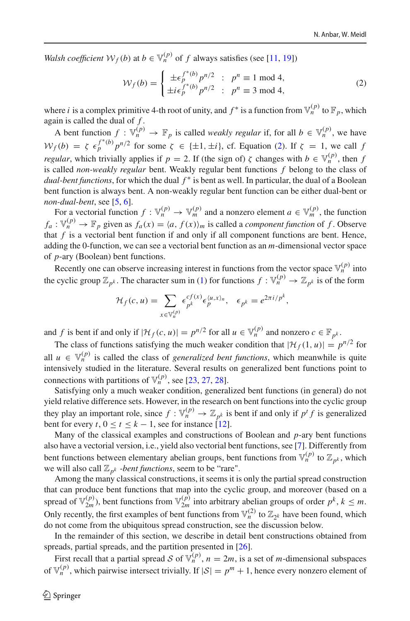*Walsh coefficient*  $W_f(b)$  at  $b \in V_n^{(p)}$  of *f* always satisfies (see [\[11](#page-19-7), [19\]](#page-19-1))

<span id="page-3-0"></span>
$$
\mathcal{W}_f(b) = \begin{cases} \pm \epsilon_p^{f^*(b)} p^{n/2} & ; p^n \equiv 1 \mod 4, \\ \pm i \epsilon_p^{f^*(b)} p^{n/2} & ; p^n \equiv 3 \mod 4, \end{cases}
$$
 (2)

where *i* is a complex primitive 4-th root of unity, and  $f^*$  is a function from  $\mathbb{V}_n^{(p)}$  to  $\mathbb{F}_p$ , which again is called the dual of *f* .

A bent function  $f : \mathbb{V}_n^{(p)} \to \mathbb{F}_p$  is called *weakly regular* if, for all  $b \in \mathbb{V}_n^{(p)}$ , we have  $W_f(b) = \zeta \epsilon_p^{f^*(b)} p^{n/2}$  for some  $\zeta \in \{\pm 1, \pm i\}$ , cf. Equation [\(2\)](#page-3-0). If  $\zeta = 1$ , we call *f regular*, which trivially applies if  $p = 2$ . If (the sign of)  $\zeta$  changes with  $b \in \mathbb{V}_n^{(p)}$ , then f is called *non-weakly regular* bent. Weakly regular bent functions *f* belong to the class of *dual-bent functions*, for which the dual  $f^*$  is bent as well. In particular, the dual of a Boolean bent function is always bent. A non-weakly regular bent function can be either dual-bent or *non-dual-bent*, see [\[5,](#page-19-8) [6](#page-19-9)].

For a vectorial function  $f : \mathbb{V}_n^{(p)} \to \mathbb{V}_m^{(p)}$  and a nonzero element  $a \in \mathbb{V}_m^{(p)}$ , the function  $f_a: \mathbb{V}_n^{(p)} \to \mathbb{F}_p$  given as  $f_a(x) = \langle a, f(x) \rangle_m$  is called a *component function* of *f*. Observe that  $f$  is a vectorial bent function if and only if all component functions are bent. Hence, adding the 0-function, we can see a vectorial bent function as an *m*-dimensional vector space of *p*-ary (Boolean) bent functions.

Recently one can observe increasing interest in functions from the vector space  $\mathbb{V}_n^{(p)}$  into the cyclic group  $\mathbb{Z}_{p^k}$ . The character sum in [\(1\)](#page-2-1) for functions  $f : \mathbb{V}_n^{(p)} \to \mathbb{Z}_{p^k}$  is of the form

$$
\mathcal{H}_f(c, u) = \sum_{x \in \mathbb{V}_n^{(p)}} \epsilon_{p^k}^{cf(x)} \epsilon_p^{\langle u, x \rangle_n}, \quad \epsilon_{p^k} = e^{2\pi i/p^k},
$$

and *f* is bent if and only if  $|\mathcal{H}_f(c, u)| = p^{n/2}$  for all  $u \in \mathbb{V}_n^{(p)}$  and nonzero  $c \in \mathbb{F}_{p^k}$ .

The class of functions satisfying the much weaker condition that  $|\mathcal{H}_f(1, u)| = p^{n/2}$  for all  $u \in V_n^{(p)}$  is called the class of *generalized bent functions*, which meanwhile is quite intensively studied in the literature. Several results on generalized bent functions point to connections with partitions of  $\mathbb{V}_n^{(p)}$ , see [\[23](#page-19-10), [27,](#page-20-4) [28\]](#page-20-5).

Satisfying only a much weaker condition, generalized bent functions (in general) do not yield relative difference sets. However, in the research on bent functions into the cyclic group they play an important role, since  $f : \mathbb{V}_n^{(p)} \to \mathbb{Z}_{p^k}$  is bent if and only if  $p^t f$  is generalized bent for every  $t, 0 \le t \le k - 1$ , see for instance [\[12](#page-19-11)].

Many of the classical examples and constructions of Boolean and *p*-ary bent functions also have a vectorial version, i.e., yield also vectorial bent functions, see [\[7\]](#page-19-12). Differently from bent functions between elementary abelian groups, bent functions from  $\mathbb{V}_n^{(p)}$  to  $\mathbb{Z}_{n^k}$ , which we will also call  $\mathbb{Z}_{p^k}$  *-bent functions*, seem to be "rare".

Among the many classical constructions, it seems it is only the partial spread construction that can produce bent functions that map into the cyclic group, and moreover (based on a spread of  $\mathbb{V}_{2m}^{(p)}$ , bent functions from  $\mathbb{V}_{2m}^{(p)}$  into arbitrary abelian groups of order  $p^k$ ,  $k \leq m$ . Only recently, the first examples of bent functions from  $\mathbb{V}_n^{(2)}$  to  $\mathbb{Z}_{2k}$  have been found, which do not come from the ubiquitous spread construction, see the discussion below.

In the remainder of this section, we describe in detail bent constructions obtained from spreads, partial spreads, and the partition presented in [\[26](#page-19-6)].

First recall that a partial spread *S* of  $\mathbb{V}_n^{(p)}$ ,  $n = 2m$ , is a set of *m*-dimensional subspaces of  $\mathbb{V}_n^{(p)}$ , which pairwise intersect trivially. If  $|\mathcal{S}| = p^m + 1$ , hence every nonzero element of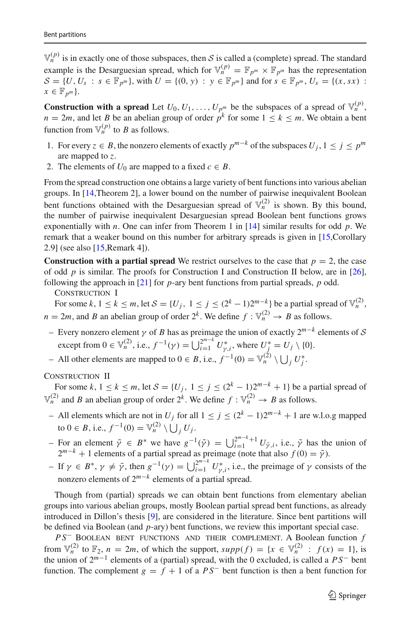$\mathbb{V}_n^{(p)}$  is in exactly one of those subspaces, then *S* is called a (complete) spread. The standard example is the Desarguesian spread, which for  $\mathbb{V}_n^{(p)} = \mathbb{F}_{p^m} \times \mathbb{F}_{p^m}$  has the representation  $S = \{U, U_s : s \in \mathbb{F}_{p^m}\}\$ , with  $U = \{(0, y) : y \in \mathbb{F}_{p^m}\}\$  and for  $s \in \mathbb{F}_{p^m}, U_s = \{(x, sx) :$  $x \in \mathbb{F}_{p^m}$ .

**Construction with a spread** Let  $U_0, U_1, \ldots, U_{p^m}$  be the subspaces of a spread of  $\mathbb{V}_n^{(p)}$ ,  $n = 2m$ , and let *B* be an abelian group of order  $p^k$  for some  $1 \leq k \leq m$ . We obtain a bent function from  $\mathbb{V}_n^{(p)}$  to *B* as follows.

- 1. For every *z* ∈ *B*, the nonzero elements of exactly  $p^{m-k}$  of the subspaces  $U_i, 1 \leq j \leq p^m$ are mapped to *z*.
- 2. The elements of  $U_0$  are mapped to a fixed  $c \in B$ .

From the spread construction one obtains a large variety of bent functions into various abelian groups. In [\[14,](#page-19-5)Theorem 2], a lower bound on the number of pairwise inequivalent Boolean bent functions obtained with the Desarguesian spread of  $\mathbb{V}_n^{(2)}$  is shown. By this bound, the number of pairwise inequivalent Desarguesian spread Boolean bent functions grows exponentially with *n*. One can infer from Theorem 1 in [\[14\]](#page-19-5) similar results for odd *p*. We remark that a weaker bound on this number for arbitrary spreads is given in [\[15](#page-19-3),Corollary 2.9] (see also [\[15](#page-19-3),Remark 4]).

**Construction with a partial spread** We restrict ourselves to the case that  $p = 2$ , the case of odd *p* is similar. The proofs for Construction I and Construction II below, are in [\[26\]](#page-19-6), following the approach in [\[21](#page-19-4)] for *p*-ary bent functions from partial spreads, *p* odd.

CONSTRUCTION I

For some  $k, 1 \le k \le m$ , let  $S = \{U_i, 1 \le j \le (2^k - 1)2^{m-k}\}\$  be a partial spread of  $\mathbb{V}_n^{(2)}$ ,  $n = 2m$ , and *B* an abelian group of order  $2^k$ . We define  $f : \mathbb{V}_n^{(2)} \to B$  as follows.

– Every nonzero element <sup>γ</sup> of *<sup>B</sup>* has as preimage the union of exactly 2*m*−*<sup>k</sup>* elements of *<sup>S</sup>* except from  $0 \in \mathbb{V}_n^{(2)}$ , i.e.,  $f^{-1}(\gamma) = \bigcup_{i=1}^{2^{m-k}} U_{\gamma,i}^*$ , where  $U_j^* = U_j \setminus \{0\}$ .

– All other elements are mapped to 0 ∈ *B*, i.e.,  $f^{-1}(0) = \mathbb{V}_n^{(2)} \setminus \bigcup_j U_j^*$ .

#### CONSTRUCTION II

For some  $k, 1 \le k \le m$ , let  $S = \{U_i, 1 \le j \le (2^k - 1)2^{m-k} + 1\}$  be a partial spread of  $\mathbb{V}_n^{(2)}$  and *B* an abelian group of order  $2^k$ . We define  $f : \mathbb{V}_n^{(2)} \to B$  as follows.

- All elements which are not in *Uj* for all 1 <sup>≤</sup> *<sup>j</sup>* <sup>≤</sup> (2*<sup>k</sup>* <sup>−</sup> <sup>1</sup>)2*m*−*<sup>k</sup>* <sup>+</sup> 1 are w.l.o.g mapped to 0 ∈ *B*, i.e.,  $f^{-1}(0) = \mathbb{V}_n^{(2)} \setminus \bigcup_j U_j$ .
- For an element  $\tilde{\gamma}$  ∈ *B*<sup>∗</sup> we have  $g^{-1}(\tilde{\gamma}) = \bigcup_{i=1}^{2^{m-k}+1} U_{\tilde{\gamma},i}$ , i.e.,  $\tilde{\gamma}$  has the union of  $2^{m-k} + 1$  elements of a partial spread as preimage (note that also  $f(0) = \tilde{\gamma}$ ).
- $-$  If  $γ ∈ B^*, γ ≠ \tilde{γ}$ , then  $g^{-1}(γ) = \bigcup_{i=1}^{2^{m-k}} U^*_{γ,i}$ , i.e., the preimage of γ consists of the nonzero elements of 2*m*−*<sup>k</sup>* elements of a partial spread.

Though from (partial) spreads we can obtain bent functions from elementary abelian groups into various abelian groups, mostly Boolean partial spread bent functions, as already introduced in Dillon's thesis [\[9](#page-19-2)], are considered in the literature. Since bent partitions will be defined via Boolean (and *p*-ary) bent functions, we review this important special case.

*PS*<sup>−</sup> BOOLEAN BENT FUNCTIONS AND THEIR COMPLEMENT. A Boolean function *f* from  $\mathbb{V}_n^{(2)}$  to  $\mathbb{F}_2$ ,  $n = 2m$ , of which the support,  $supp(f) = \{x \in \mathbb{V}_n^{(2)} : f(x) = 1\}$ , is the union of 2*m*−<sup>1</sup> elements of a (partial) spread, with the 0 excluded, is called a *P S*<sup>−</sup> bent function. The complement  $g = f + 1$  of a  $PS^-$  bent function is then a bent function for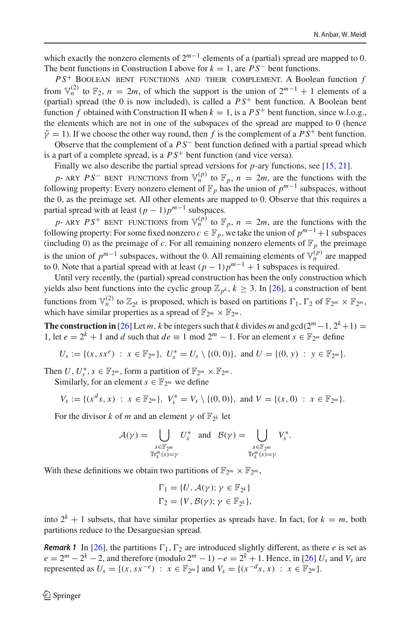which exactly the nonzero elements of 2*m*−<sup>1</sup> elements of a (partial) spread are mapped to 0. The bent functions in Construction I above for  $k = 1$ , are  $PS^-$  bent functions.

 $PS^+$  BOOLEAN BENT FUNCTIONS AND THEIR COMPLEMENT. A Boolean function  $f$ from  $\mathbb{V}_n^{(2)}$  to  $\mathbb{F}_2$ ,  $n = 2m$ , of which the support is the union of  $2^{m-1} + 1$  elements of a (partial) spread (the 0 is now included), is called a  $PS<sup>+</sup>$  bent function. A Boolean bent function *f* obtained with Construction II when  $k = 1$ , is a  $PS^+$  bent function, since w.l.o.g., the elements which are not in one of the subspaces of the spread are mapped to 0 (hence  $\tilde{\gamma} = 1$ ). If we choose the other way round, then *f* is the complement of a  $PS^+$  bent function.

Observe that the complement of a *P S*− bent function defined with a partial spread which is a part of a complete spread, is a  $PS<sup>+</sup>$  bent function (and vice versa).

Finally we also describe the partial spread versions for *p*-ary functions, see [\[15](#page-19-3), [21](#page-19-4)].

*p*- ARY  $PS^-$  BENT FUNCTIONS from  $\mathbb{V}_n^{(p)}$  to  $\mathbb{F}_p$ ,  $n = 2m$ , are the functions with the following property: Every nonzero element of  $\mathbb{F}_p$  has the union of  $p^{m-1}$  subspaces, without the 0, as the preimage set. All other elements are mapped to 0. Observe that this requires a partial spread with at least  $(p - 1)p^{m-1}$  subspaces.

*p*- ARY  $PS^+$  BENT FUNCTIONS from  $\mathbb{V}_n^{(p)}$  to  $\mathbb{F}_p$ ,  $n = 2m$ , are the functions with the following property: For some fixed nonzero  $c \in \mathbb{F}_p$ , we take the union of  $p^{m-1}+1$  subspaces (including 0) as the preimage of *c*. For all remaining nonzero elements of  $\mathbb{F}_p$  the preimage is the union of  $p^{m-1}$  subspaces, without the 0. All remaining elements of  $\overline{V}_n^{(p)}$  are mapped to 0. Note that a partial spread with at least  $(p-1)p^{m-1} + 1$  subspaces is required.

Until very recently, the (partial) spread construction has been the only construction which yields also bent functions into the cyclic group  $\mathbb{Z}_{p^k}$ ,  $k \geq 3$ . In [\[26](#page-19-6)], a construction of bent functions from  $\mathbb{V}_n^{(2)}$  to  $\mathbb{Z}_{2k}$  is proposed, which is based on partitions  $\Gamma_1$ ,  $\Gamma_2$  of  $\mathbb{F}_{2^m} \times \mathbb{F}_{2^m}$ , which have similar properties as a spread of  $\mathbb{F}_{2^m} \times \mathbb{F}_{2^m}$ .

**The construction in** [\[26\]](#page-19-6) Let *m*, *k* be integers such that *k* divides *m* and gcd( $2^m - 1$ ,  $2^k + 1$ ) = 1, let  $e = 2^k + 1$  and *d* such that  $de \equiv 1 \mod 2^m - 1$ . For an element  $s \in \mathbb{F}_{2^m}$  define

$$
U_s := \{(x, sx^e) : x \in \mathbb{F}_{2^m}\}, \ U_s^* = U_s \setminus \{(0, 0)\}, \text{ and } U = \{(0, y) : y \in \mathbb{F}_{2^m}\}.
$$

Then *U*,  $U_s^*$ ,  $s \in \mathbb{F}_{2^m}$ , form a partition of  $\mathbb{F}_{2^m} \times \mathbb{F}_{2^m}$ .

Similarly, for an element  $s \in \mathbb{F}_{2^m}$  we define

$$
V_s := \{ (x^d s, x) : x \in \mathbb{F}_{2^m} \}, V_s^* = V_s \setminus \{ (0, 0) \}, \text{ and } V = \{ (x, 0) : x \in \mathbb{F}_{2^m} \}.
$$

For the divisor *k* of *m* and an element  $\gamma$  of  $\mathbb{F}_{2^k}$  let

$$
\mathcal{A}(\gamma) = \bigcup_{\substack{s \in \mathbb{F}_{2^m} \\ \text{Tr}_k^m(s) = \gamma}} U_s^* \text{ and } \mathcal{B}(\gamma) = \bigcup_{\substack{s \in \mathbb{F}_{2^m} \\ \text{Tr}_k^m(s) = \gamma}} V_s^*.
$$

With these definitions we obtain two partitions of  $\mathbb{F}_{2^m} \times \mathbb{F}_{2^m}$ ,

$$
\Gamma_1 = \{U, \mathcal{A}(\gamma); \gamma \in \mathbb{F}_{2^k}\}
$$
  

$$
\Gamma_2 = \{V, \mathcal{B}(\gamma); \gamma \in \mathbb{F}_{2^k}\},\
$$

into  $2^k + 1$  subsets, that have similar properties as spreads have. In fact, for  $k = m$ , both partitions reduce to the Desarguesian spread.

<span id="page-5-0"></span>**Remark 1** In [\[26\]](#page-19-6), the partitions  $\Gamma_1$ ,  $\Gamma_2$  are introduced slightly different, as there *e* is set as  $e = 2^m - 2^k - 2$ , and therefore (modulo  $2^m - 1$ )  $-e = 2^k + 1$ . Hence, in [\[26](#page-19-6)]  $U_s$  and  $V_s$  are represented as  $U_s = \{(x, sx^{-e}) : x \in \mathbb{F}_{2^m}\}\$  and  $V_s = \{(x^{-d}s, x) : x \in \mathbb{F}_{2^m}\}.$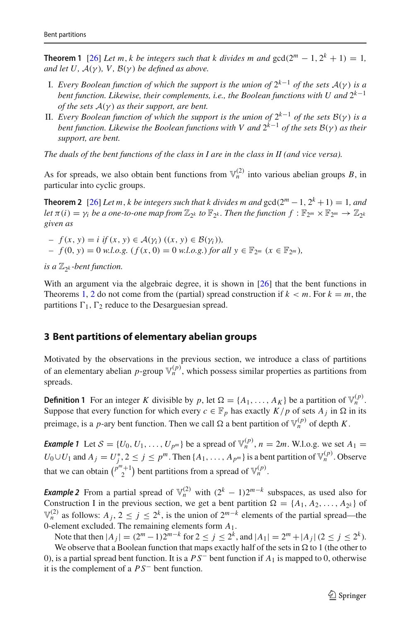**Theorem 1** [\[26](#page-19-6)] *Let m, k be integers such that k divides m and*  $gcd(2^m - 1, 2^k + 1) = 1$ , *and let U,*  $A(\gamma)$ *, V,*  $B(\gamma)$  *be defined as above.* 

- I. *Every Boolean function of which the support is the union of* <sup>2</sup>*k*−<sup>1</sup> *of the sets <sup>A</sup>*(γ ) *is a bent function. Likewise, their complements, i.e., the Boolean functions with U and*  $2<sup>k−1</sup>$ *of the sets A*(γ ) *as their support, are bent.*
- II. *Every Boolean function of which the support is the union of*  $2^{k-1}$  *of the sets*  $B(\gamma)$  *is a bent function. Likewise the Boolean functions with V and*  $2<sup>k</sup>−1$  *of the sets B*(*γ*) *as their support, are bent.*

*The duals of the bent functions of the class in I are in the class in II (and vice versa).*

<span id="page-6-1"></span>As for spreads, we also obtain bent functions from  $\mathbb{V}_n^{(2)}$  into various abelian groups *B*, in particular into cyclic groups.

**Theorem 2** [\[26](#page-19-6)] *Let m, k be integers such that k divides m and*  $gcd(2^m - 1, 2^k + 1) = 1$ *, and let*  $\pi(i) = \gamma_i$  *be a one-to-one map from*  $\mathbb{Z}_{2^k}$  *to*  $\mathbb{F}_{2^k}$ *. Then the function*  $f : \mathbb{F}_{2^m} \times \mathbb{F}_{2^m} \to \mathbb{Z}_{2^k}$ *given as*

 $f(x, y) = i$  *if*  $(x, y) ∈ A(y_i)$   $((x, y) ∈ B(y_i))$ , *−*  $f$  (0,  $y$ ) = 0 *w.l.o.g.* ( $f$  ( $x$ , 0) = 0 *w.l.o.g.*) *for all*  $y$  ∈  $\mathbb{F}_{2^m}$  ( $x$  ∈  $\mathbb{F}_{2^m}$ ),

*is a*  $\mathbb{Z}_{2^k}$ *-bent function.* 

With an argument via the algebraic degree, it is shown in [\[26](#page-19-6)] that the bent functions in Theorems [1,](#page-5-0) [2](#page-6-1) do not come from the (partial) spread construction if  $k < m$ . For  $k = m$ , the partitions  $\Gamma_1$ ,  $\Gamma_2$  reduce to the Desarguesian spread.

### <span id="page-6-0"></span>**3 Bent partitions of elementary abelian groups**

Motivated by the observations in the previous section, we introduce a class of partitions of an elementary abelian *p*-group  $\mathbb{V}_n^{(p)}$ , which possess similar properties as partitions from spreads.

**Definition 1** For an integer *K* divisible by *p*, let  $\Omega = \{A_1, \ldots, A_K\}$  be a partition of  $\mathbb{V}_n^{(p)}$ . Suppose that every function for which every  $c \in \mathbb{F}_p$  has exactly  $K/p$  of sets  $A_j$  in  $\Omega$  in its preimage, is a *p*-ary bent function. Then we call  $\Omega$  a bent partition of  $\mathbb{V}_n^{(p)}$  of depth *K*.

<span id="page-6-3"></span>*Example 1* Let  $S = \{U_0, U_1, \ldots, U_{p^m}\}$  be a spread of  $\mathbb{V}_n^{(p)}$ ,  $n = 2m$ . W.l.o.g. we set  $A_1 =$ *U*<sub>0</sub>∪*U*<sub>1</sub> and *A*<sub>*j*</sub> = *U*<sup>\*</sup><sub>*j*</sub>, 2 ≤ *j* ≤ *p*<sup>*m*</sup>. Then {*A*<sub>1</sub>, . . . , *A<sub>p<sup>m*</sup></sub>} is a bent partition of  $\mathbb{V}_n^{(p)}$ . Observe that we can obtain  $\binom{p^m+1}{2}$  bent partitions from a spread of  $\mathbb{V}_n^{(p)}$ .

<span id="page-6-2"></span>*Example 2* From a partial spread of  $\mathbb{V}_n^{(2)}$  with  $(2^k - 1)2^{m-k}$  subspaces, as used also for Construction I in the previous section, we get a bent partition  $\Omega = \{A_1, A_2, \ldots, A_{2^k}\}\$  of  $\mathbb{V}_n^{(2)}$  as follows: *A<sub>j</sub>*, 2 < *j* < 2<sup>*k*</sup>, is the union of 2<sup>*m*−*k*</sup> elements of the partial spread—the 0-element excluded. The remaining elements form *A*1.

Note that then  $|A_j| = (2^m - 1)2^{m-k}$  for  $2 \le j \le 2^k$ , and  $|A_1| = 2^m + |A_j|$  ( $2 \le j \le 2^k$ ).

<span id="page-6-4"></span>We observe that a Boolean function that maps exactly half of the sets in  $\Omega$  to 1 (the other to 0), is a partial spread bent function. It is a *P S*<sup>−</sup> bent function if *A*<sup>1</sup> is mapped to 0, otherwise it is the complement of a *P S*− bent function.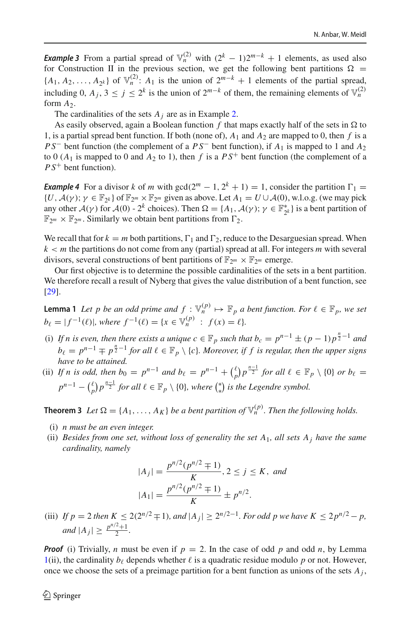*Example 3* From a partial spread of  $\mathbb{V}_n^{(2)}$  with  $(2^k - 1)2^{m-k} + 1$  elements, as used also for Construction II in the previous section, we get the following bent partitions  $\Omega$  =  ${A_1, A_2, \ldots, A_{2k}}$  of  $\mathbb{V}_n^{(2)}$ : *A*<sub>1</sub> is the union of  $2^{m-k} + 1$  elements of the partial spread, including 0,  $A_j$ ,  $3 \le j \le 2^k$  is the union of  $2^{m-k}$  of them, the remaining elements of  $\mathbb{V}_n^{(2)}$ form  $A_2$ .

The cardinalities of the sets  $A_j$  are as in Example [2.](#page-6-2)

As easily observed, again a Boolean function  $f$  that maps exactly half of the sets in  $\Omega$  to 1, is a partial spread bent function. If both (none of),  $A_1$  and  $A_2$  are mapped to 0, then f is a *P S*<sup>−</sup> bent function (the complement of a *P S*<sup>−</sup> bent function), if *A*<sub>1</sub> is mapped to 1 and *A*<sub>2</sub> to 0 ( $A_1$  is mapped to 0 and  $A_2$  to 1), then f is a  $PS^+$  bent function (the complement of a *P S*+ bent function).

<span id="page-7-2"></span>*Example 4* For a divisor *k* of *m* with gcd( $2^m - 1$ ,  $2^k + 1$ ) = 1, consider the partition  $\Gamma_1$  =  $\{U, \mathcal{A}(\gamma) \, ; \, \gamma \in \mathbb{F}_{2^k} \}$  of  $\mathbb{F}_{2^m} \times \mathbb{F}_{2^m}$  given as above. Let  $A_1 = U \cup \mathcal{A}(0)$ , w.l.o.g. (we may pick any other *A*(*γ*) for *A*(0) - 2<sup>*k*</sup> choices). Then  $\Omega = \{A_1, \mathcal{A}(\gamma) \colon \gamma \in \mathbb{F}_{2^k}^*\}$  is a bent partition of  $\mathbb{F}_{2^m} \times \mathbb{F}_{2^m}$ . Similarly we obtain bent partitions from  $\Gamma_2$ .

We recall that for  $k = m$  both partitions,  $\Gamma_1$  and  $\Gamma_2$ , reduce to the Desarguesian spread. When  $k < m$  the partitions do not come from any (partial) spread at all. For integers  $m$  with several divisors, several constructions of bent partitions of  $\mathbb{F}_{2^m} \times \mathbb{F}_{2^m}$  emerge.

<span id="page-7-0"></span>Our first objective is to determine the possible cardinalities of the sets in a bent partition. We therefore recall a result of Nyberg that gives the value distribution of a bent function, see [\[29\]](#page-20-6).

**Lemma 1** *Let p be an odd prime and*  $f : \mathbb{V}_n^{(p)} \mapsto \mathbb{F}_p$  *a bent function. For*  $\ell \in \mathbb{F}_p$ *, we set*  $b_{\ell} = |f^{-1}(\ell)|$ , where  $f^{-1}(\ell) = \{x \in \mathbb{V}_n^{(p)} : f(x) = \ell\}.$ 

- (i) If *n* is even, then there exists a unique  $c \in \mathbb{F}_p$  such that  $b_c = p^{n-1} \pm (p-1)p^{\frac{n}{2}-1}$  and  $b_\ell = p^{n-1} \mp p^{\frac{n}{2}-1}$  *for all*  $\ell \in \mathbb{F}_p \setminus \{c\}$ *. Moreover, if f is regular, then the upper signs have to be attained.*
- (ii) If *n* is odd, then  $b_0 = p^{n-1}$  and  $b_\ell = p^{n-1} + {(\ell \choose p} p^{\frac{n-1}{2}}$  for all  $\ell \in \mathbb{F}_p \setminus \{0\}$  or  $b_\ell =$  $p^{n-1} - {(\ell \choose p)} p^{\frac{n-1}{2}}$  for all  $\ell \in \mathbb{F}_p \setminus \{0\}$ , where  $\binom{*}{*}$  is the Legendre symbol.

<span id="page-7-1"></span>**Theorem 3** *Let*  $\Omega = \{A_1, \ldots, A_K\}$  *be a bent partition of*  $\mathbb{V}_n^{(p)}$ *. Then the following holds.* 

- (i) *n must be an even integer.*
- (ii) *Besides from one set, without loss of generality the set A*1*, all sets Aj have the same cardinality, namely*

$$
|A_j| = \frac{p^{n/2}(p^{n/2} \mp 1)}{K}, 2 \le j \le K, \text{ and}
$$

$$
|A_1| = \frac{p^{n/2}(p^{n/2} \mp 1)}{K} \pm p^{n/2}.
$$

(iii) *If*  $p = 2$  *then*  $K \le 2(2^{n/2} \pm 1)$ *, and*  $|A_j| \ge 2^{n/2-1}$ *. For odd p we have*  $K \le 2p^{n/2} - p$ *, and*  $|A_j| \geq \frac{p^{n/2}+1}{2}$ .

*Proof* (i) Trivially, *n* must be even if  $p = 2$ . In the case of odd *p* and odd *n*, by Lemma [1\(](#page-7-0)ii), the cardinality  $b_\ell$  depends whether  $\ell$  is a quadratic residue modulo p or not. However, once we choose the sets of a preimage partition for a bent function as unions of the sets  $A_i$ ,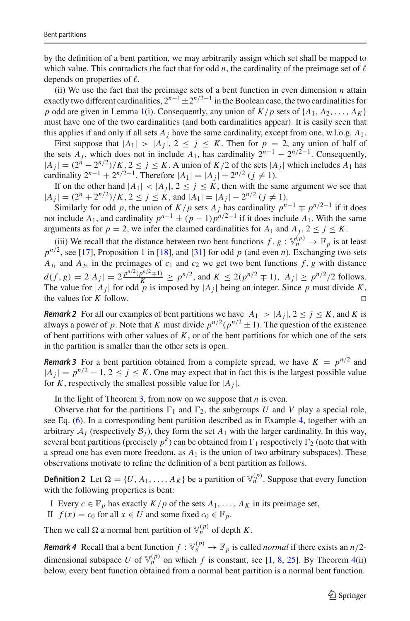by the definition of a bent partition, we may arbitrarily assign which set shall be mapped to which value. This contradicts the fact that for odd *n*, the cardinality of the preimage set of  $\ell$ depends on properties of  $\ell$ .

(ii) We use the fact that the preimage sets of a bent function in even dimension *n* attain exactly two different cardinalities,  $2^{n-1} \pm 2^{n/2-1}$  in the Boolean case, the two cardinalities for *p* odd are given in Lemma [1\(](#page-7-0)i). Consequently, any union of  $K/p$  sets of  $\{A_1, A_2, \ldots, A_K\}$ must have one of the two cardinalities (and both cardinalities appear). It is easily seen that this applies if and only if all sets  $A_j$  have the same cardinality, except from one, w.l.o.g.  $A_1$ .

First suppose that  $|A_1| > |A_j|$ ,  $2 \le j \le K$ . Then for  $p = 2$ , any union of half of the sets  $A_j$ , which does not in include  $A_1$ , has cardinality  $2^{n-1} - 2^{n/2-1}$ . Consequently,  $|A_j|$  =  $(2^n – 2^{n/2})/K$ , 2 ≤ *j* ≤ *K*. A union of *K*/2 of the sets  $|A_j|$  which includes  $A_1$  has cardinality  $2^{n-1} + 2^{n/2-1}$ . Therefore  $|A_1| = |A_i| + 2^{n/2}$  (*j*  $\neq$  1).

If on the other hand  $|A_1| < |A_j|$ ,  $2 \le j \le K$ , then with the same argument we see that  $|A_j| = (2^n + 2^{n/2})/K$ ,  $2 \le j \le K$ , and  $|A_1| = |A_j| - 2^{n/2}$  ( $j \ne 1$ ).

Similarly for odd *p*, the union of  $K/p$  sets  $A_j$  has cardinality  $p^{n-1} \mp p^{n/2-1}$  if it does not include  $A_1$ , and cardinality  $p^{n-1} \pm (p-1)p^{n/2-1}$  if it does include  $A_1$ . With the same arguments as for  $p = 2$ , we infer the claimed cardinalities for  $A_1$  and  $A_j$ ,  $2 \le j \le K$ .

(iii) We recall that the distance between two bent functions  $f, g: \mathbb{V}_n^{(p)} \to \mathbb{F}_p$  is at least  $p^{n/2}$ , see [\[17\]](#page-19-13), Proposition 1 in [\[18\]](#page-19-14), and [\[31\]](#page-20-7) for odd *p* (and even *n*). Exchanging two sets  $A_{i_1}$  and  $A_{i_2}$  in the preimages of  $c_1$  and  $c_2$  we get two bent functions  $f$ ,  $g$  with distance *d*(*f*, *g*) = 2|*A<sub>j</sub>*| =  $2 \frac{p^{n/2}(p^{n/2} \mp 1)}{K}$  ≥  $p^{n/2}$ , and  $K ≤ 2(p^{n/2} \mp 1)$ ,  $|A_j| ≥ p^{n/2}/2$  follows. The value for  $|A_j|$  for odd *p* is imposed by  $|A_j|$  being an integer. Since *p* must divide *K*, the values for *K* follow. the values for *K* follow.

<span id="page-8-0"></span>*Remark 2* For all our examples of bent partitions we have  $|A_1| > |A_j|$ ,  $2 \le j \le K$ , and *K* is always a power of *p*. Note that *K* must divide  $p^{n/2}(p^{n/2} \pm 1)$ . The question of the existence of bent partitions with other values of *K*, or of the bent partitions for which one of the sets in the partition is smaller than the other sets is open.

<span id="page-8-1"></span>*Remark 3* For a bent partition obtained from a complete spread, we have  $K = p^{n/2}$  and  $|A_j| = p^{n/2} - 1$ ,  $2 \le j \le K$ . One may expect that in fact this is the largest possible value for *K*, respectively the smallest possible value for  $|A_j|$ .

In the light of Theorem  $3$ , from now on we suppose that  $n$  is even.

Observe that for the partitions  $\Gamma_1$  and  $\Gamma_2$ , the subgroups *U* and *V* play a special role, see Eq. [\(6\)](#page-13-0). In a corresponding bent partition described as in Example [4,](#page-7-2) together with an arbitrary  $A_j$  (respectively  $B_j$ ), they form the set  $A_1$  with the larger cardinality. In this way, several bent partitions (precisely  $p^k$ ) can be obtained from  $\Gamma_1$  respectively  $\Gamma_2$  (note that with a spread one has even more freedom, as  $A_1$  is the union of two arbitrary subspaces). These observations motivate to refine the definition of a bent partition as follows.

**Definition 2** Let  $\Omega = \{U, A_1, \ldots, A_K\}$  be a partition of  $\mathbb{V}_n^{(p)}$ . Suppose that every function with the following properties is bent:

- I Every  $c \in \mathbb{F}_p$  has exactly  $K/p$  of the sets  $A_1, \ldots, A_K$  in its preimage set,
- II  $f(x) = c_0$  for all  $x \in U$  and some fixed  $c_0 \in \mathbb{F}_p$ .

Then we call  $\Omega$  a normal bent partition of  $\mathbb{V}_n^{(p)}$  of depth *K*.

*Remark 4* Recall that a bent function  $f: \mathbb{V}_n^{(p)} \to \mathbb{F}_p$  is called *normal* if there exists an *n*/2dimensional subspace *U* of  $\mathbb{V}_n^{(p)}$  on which *f* is constant, see [\[1](#page-19-15), [8](#page-19-16), [25](#page-19-17)]. By Theorem [4\(](#page-9-0)ii) below, every bent function obtained from a normal bent partition is a normal bent function.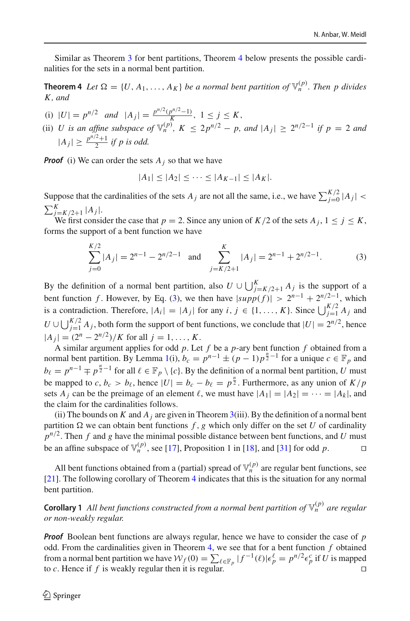Similar as Theorem [3](#page-7-1) for bent partitions, Theorem [4](#page-9-0) below presents the possible cardinalities for the sets in a normal bent partition.

**Theorem 4** *Let*  $\Omega = \{U, A_1, \ldots, A_K\}$  *be a normal bent partition of*  $\mathbb{V}_n^{(p)}$ *. Then p divides K , and*

- (i)  $|U| = p^{n/2}$  *and*  $|A_j| = \frac{p^{n/2}(p^{n/2}-1)}{K}$ ,  $1 \le j \le K$ ,
- (ii) *U* is an affine subspace of  $\mathbb{V}_n^{(p)}$ ,  $K \leq 2p^{n/2} p$ , and  $|A_j| \geq 2^{n/2-1}$  if  $p = 2$  and  $|A_j| \geq \frac{p^{n/2}+1}{2}$  *if p is odd.*

*Proof* (i) We can order the sets  $A_j$  so that we have

<span id="page-9-1"></span><span id="page-9-0"></span>
$$
|A_1| \le |A_2| \le \cdots \le |A_{K-1}| \le |A_K|.
$$

Suppose that the cardinalities of the sets  $A_j$  are not all the same, i.e., we have  $\sum_{j=0}^{K/2} |A_j|$  <  $\sum_{j=K/2+1}^{K} |A_j|$ .

We first consider the case that  $p = 2$ . Since any union of  $K/2$  of the sets  $A_j$ ,  $1 \le j \le K$ , forms the support of a bent function we have

$$
\sum_{j=0}^{K/2} |A_j| = 2^{n-1} - 2^{n/2 - 1} \quad \text{and} \quad \sum_{j=K/2+1}^{K} |A_j| = 2^{n-1} + 2^{n/2 - 1}.
$$
 (3)

By the definition of a normal bent partition, also  $U \cup \bigcup_{j=K/2+1}^{K} A_j$  is the support of a bent function *f*. However, by Eq. [\(3\)](#page-9-1), we then have  $|supp(f)| > 2^{n-1} + 2^{n/2-1}$ , which is a contradiction. Therefore,  $|A_i| = |A_j|$  for any  $i, j \in \{1, ..., K\}$ . Since  $\bigcup_{j=1}^{K/2} A_j$  and *U* ∪  $\bigcup_{j=1}^{K/2}$  *A<sub>j</sub>*, both form the support of bent functions, we conclude that  $|U| = 2^{n/2}$ , hence  $|A_j| = (2^n - 2^{n/2})/K$  for all  $j = 1, ..., K$ .

A similar argument applies for odd *p*. Let *f* be a *p*-ary bent function *f* obtained from a normal bent partition. By Lemma [1\(](#page-7-0)i),  $b_c = p^{n-1} \pm (p-1)p^{\frac{n}{2}-1}$  for a unique  $c \in \mathbb{F}_p$  and  $b_\ell = p^{n-1} \mp p^{\frac{n}{2}-1}$  for all  $\ell \in \mathbb{F}_p \setminus \{c\}$ . By the definition of a normal bent partition, *U* must be mapped to *c*,  $b_c > b_\ell$ , hence  $|U| = b_c - b_\ell = p^{\frac{n}{2}}$ . Furthermore, as any union of  $K/p$ sets *A<sub>i</sub>* can be the preimage of an element  $\ell$ , we must have  $|A_1| = |A_2| = \cdots = |A_k|$ , and the claim for the cardinalities follows.

(ii) The bounds on *K* and  $A_j$  are given in Theorem [3\(](#page-7-1)iii). By the definition of a normal bent partition  $\Omega$  we can obtain bent functions  $f$ ,  $g$  which only differ on the set  $U$  of cardinality  $p^{n/2}$ . Then *f* and *g* have the minimal possible distance between bent functions, and *U* must be an affine subspace of  $\mathbb{V}_n^{(p)}$ , see [\[17](#page-19-13)], Proposition 1 in [\[18\]](#page-19-14), and [\[31](#page-20-7)] for odd *p*.

All bent functions obtained from a (partial) spread of  $\mathbb{V}_n^{(p)}$  are regular bent functions, see [\[21\]](#page-19-4). The following corollary of Theorem [4](#page-9-0) indicates that this is the situation for any normal bent partition.

**Corollary 1** All bent functions constructed from a normal bent partition of  $\mathbb{V}_n^{(p)}$  are regular *or non-weakly regular.*

<span id="page-9-2"></span>*Proof* Boolean bent functions are always regular, hence we have to consider the case of *p* odd. From the cardinalities given in Theorem [4,](#page-9-0) we see that for a bent function *f* obtained from a normal bent partition we have  $W_f(0) = \sum_{\ell \in \mathbb{F}_p} |f^{-1}(\ell)| \epsilon_p^{\ell} = p^{n/2} \epsilon_p^c$  if *U* is mapped to *c*. Hence if *f* is weakly regular then it is regular.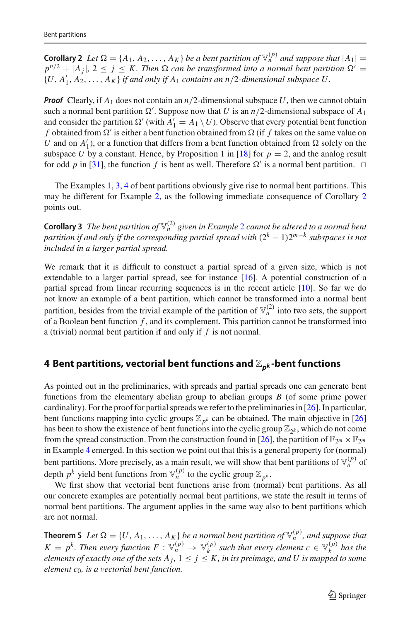**Corollary 2** *Let*  $\Omega = \{A_1, A_2, \ldots, A_K\}$  *be a bent partition of*  $\mathbb{V}_n^{(p)}$  *and suppose that*  $|A_1|$  =  $p^{n/2} + |A_i|$ ,  $2 \leq j \leq K$ . Then  $\Omega$  can be transformed into a normal bent partition  $\Omega' =$  $\{U, A'_1, A_2, \ldots, A_K\}$  *if and only if*  $A_1$  *contains an n*/2*-dimensional subspace* U.

*Proof* Clearly, if  $A_1$  does not contain an  $n/2$ -dimensional subspace U, then we cannot obtain such a normal bent partition  $\Omega'$ . Suppose now that *U* is an *n*/2-dimensional subspace of  $A_1$ and consider the partition  $\Omega'$  (with  $A'_1 = A_1 \setminus U$ ). Observe that every potential bent function *f* obtained from  $\Omega'$  is either a bent function obtained from  $\Omega$  (if *f* takes on the same value on *U* and on  $A'_1$ ), or a function that differs from a bent function obtained from  $\Omega$  solely on the subspace *U* by a constant. Hence, by Proposition 1 in [\[18](#page-19-14)] for  $p = 2$ , and the analog result for odd *p* in [\[31\]](#page-20-7), the function *f* is bent as well. Therefore  $\Omega'$  is a normal bent partition.  $\Box$ 

The Examples [1,](#page-6-3) [3,](#page-6-4) [4](#page-7-2) of bent partitions obviously give rise to normal bent partitions. This may be different for Example [2,](#page-6-2) as the following immediate consequence of Corollary [2](#page-9-2) points out.

**Corollary 3** *The bent partition of*  $\mathbb{V}_n^{(2)}$  $\mathbb{V}_n^{(2)}$  $\mathbb{V}_n^{(2)}$  *given in Example* 2 *cannot be altered to a normal bent partition if and only if the corresponding partial spread with* (2*<sup>k</sup>* <sup>−</sup> <sup>1</sup>)2*m*−*<sup>k</sup> subspaces is not included in a larger partial spread.*

We remark that it is difficult to construct a partial spread of a given size, which is not extendable to a larger partial spread, see for instance [\[16](#page-19-18)]. A potential construction of a partial spread from linear recurring sequences is in the recent article [\[10](#page-19-19)]. So far we do not know an example of a bent partition, which cannot be transformed into a normal bent partition, besides from the trivial example of the partition of  $\mathbb{V}_n^{(2)}$  into two sets, the support of a Boolean bent function *f* , and its complement. This partition cannot be transformed into a (trivial) normal bent partition if and only if *f* is not normal.

### <span id="page-10-0"></span>**4 Bent partitions, vectorial bent functions and** Z*pk* **-bent functions**

As pointed out in the preliminaries, with spreads and partial spreads one can generate bent functions from the elementary abelian group to abelian groups *B* (of some prime power cardinality). For the proof for partial spreads we refer to the preliminaries in [\[26](#page-19-6)]. In particular, bent functions mapping into cyclic groups  $\mathbb{Z}_{p^k}$  can be obtained. The main objective in [\[26\]](#page-19-6) has been to show the existence of bent functions into the cyclic group  $\mathbb{Z}_{2^k}$ , which do not come from the spread construction. From the construction found in [\[26\]](#page-19-6), the partition of  $\mathbb{F}_{2^m} \times \mathbb{F}_{2^m}$ in Example [4](#page-7-2) emerged. In this section we point out that this is a general property for (normal) bent partitions. More precisely, as a main result, we will show that bent partitions of  $\mathbb{V}_n^{(p)}$  of depth  $p^k$  yield bent functions from  $\mathbb{V}_n^{(p)}$  to the cyclic group  $\mathbb{Z}_{p^k}$ .

We first show that vectorial bent functions arise from (normal) bent partitions. As all our concrete examples are potentially normal bent partitions, we state the result in terms of normal bent partitions. The argument applies in the same way also to bent partitions which are not normal.

**Theorem 5** *Let*  $\Omega = \{U, A_1, \ldots, A_K\}$  *be a normal bent partition of*  $\mathbb{V}_n^{(p)}$ *, and suppose that*  $K = p^k$ . Then every function  $F : \mathbb{V}_n^{(p)} \to \mathbb{V}_k^{(p)}$  such that every element  $c \in \mathbb{V}_k^{(p)}$  has the *elements of exactly one of the sets*  $A_j$ ,  $1 \leq j \leq K$ , *in its preimage, and U is mapped to some element c*0*, is a vectorial bent function.*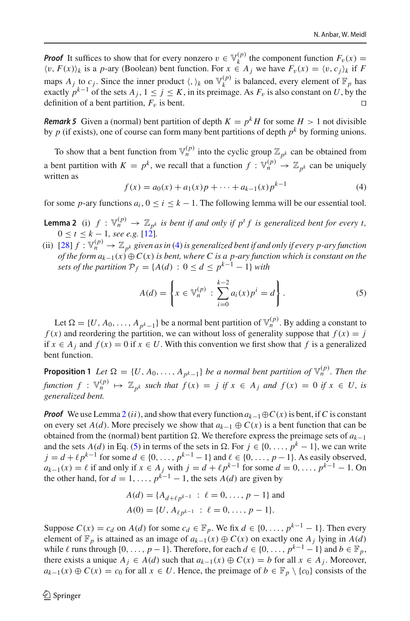*Proof* It suffices to show that for every nonzero  $v \in V_k^{(p)}$  the component function  $F_v(x) =$  $\langle v, F(x) \rangle_k$  is a *p*-ary (Boolean) bent function. For  $x \in A_j$  we have  $F_v(x) = \langle v, c_j \rangle_k$  if *F* maps  $A_j$  to  $c_j$ . Since the inner product  $\langle, \rangle_k$  on  $\mathbb{V}_k^{(p)}$  is balanced, every element of  $\mathbb{F}_p$  has exactly  $p^{k-1}$  of the sets  $A_j$ ,  $1 \le j \le K$ , in its preimage. As  $F_v$  is also constant on *U*, by the definition of a bent partition.  $F_v$  is bent. definition of a bent partition,  $F_v$  is bent.

*Remark 5* Given a (normal) bent partition of depth  $K = p^k H$  for some  $H > 1$  not divisible by  $p$  (if exists), one of course can form many bent partitions of depth  $p^k$  by forming unions.

To show that a bent function from  $\mathbb{V}_n^{(p)}$  into the cyclic group  $\mathbb{Z}_{p^k}$  can be obtained from a bent partition with  $K = p^k$ , we recall that a function  $f: \mathbb{V}_n^{(p)} \to \mathbb{Z}_{p^k}$  can be uniquely written as

<span id="page-11-0"></span>
$$
f(x) = a_0(x) + a_1(x)p + \dots + a_{k-1}(x)p^{k-1}
$$
 (4)

<span id="page-11-1"></span>for some *p*-ary functions  $a_i$ ,  $0 \le i \le k - 1$ . The following lemma will be our essential tool.

- **Lemma 2** (i)  $f : \mathbb{V}_n^{(p)} \to \mathbb{Z}_{p^k}$  *is bent if and only if*  $p^t f$  *is generalized bent for every t,*  $0 \le t \le k - 1$ , see e.g. [\[12\]](#page-19-11).
- (ii) [\[28\]](#page-20-5)  $f: \mathbb{V}_n^{(p)} \to \mathbb{Z}_{p^k}$  given as in [\(4\)](#page-11-0) is generalized bent if and only if every p-ary function *of the form*  $a_{k-1}(x) \oplus C(x)$  *is bent, where C is a p-ary function which is constant on the sets of the partition*  $P_f = \{A(d) : 0 \le d \le p^{k-1} - 1\}$  *with*

<span id="page-11-2"></span>
$$
A(d) = \left\{ x \in \mathbb{V}_n^{(p)} : \sum_{i=0}^{k-2} a_i(x) p^i = d \right\}.
$$
 (5)

<span id="page-11-3"></span>Let  $\Omega = \{U, A_0, \ldots, A_{n^k-1}\}\$  be a normal bent partition of  $\mathbb{V}_n^{(p)}$ . By adding a constant to  $f(x)$  and reordering the partition, we can without loss of generality suppose that  $f(x) = j$ if *x* ∈ *A<sub>j</sub>* and  $f(x) = 0$  if  $x \in U$ . With this convention we first show that *f* is a generalized bent function.

**Proposition 1** *Let*  $\Omega = \{U, A_0, \ldots, A_{n^k-1}\}$  *be a normal bent partition of*  $\mathbb{V}_n^{(p)}$ *. Then the function*  $f: \mathbb{V}_n^{(p)} \mapsto \mathbb{Z}_{p^k}$  *such that*  $f(x) = j$  *if*  $x \in A_j$  *and*  $f(x) = 0$  *if*  $x \in U$ *, is generalized bent.*

*Proof* We use Lemma [2](#page-11-1) (*ii*), and show that every function  $a_{k-1} \oplus C(x)$  is bent, if *C* is constant on every set *A*(*d*). More precisely we show that  $a_{k-1} \oplus C(x)$  is a bent function that can be obtained from the (normal) bent partition  $Ω$ . We therefore express the preimage sets of  $a_{k-1}$ and the sets *A*(*d*) in Eq. [\(5\)](#page-11-2) in terms of the sets in  $\Omega$ . For  $j \in \{0, ..., p^k - 1\}$ , we can write  $j = d + \ell p^{k-1}$  for some  $d \in \{0, ..., p^{k-1} - 1\}$  and  $\ell \in \{0, ..., p - 1\}$ . As easily observed,  $a_{k-1}(x) = \ell$  if and only if  $x \in A_j$  with  $j = d + \ell p^{k-1}$  for some  $d = 0, \ldots, p^{k-1} - 1$ . On the other hand, for  $d = 1, \ldots, p^{k-1} - 1$ , the sets  $A(d)$  are given by

$$
A(d) = \{A_{d+\ell p^{k-1}} : \ell = 0, ..., p-1\} \text{ and}
$$
  

$$
A(0) = \{U, A_{\ell p^{k-1}} : \ell = 0, ..., p-1\}.
$$

Suppose  $C(x) = c_d$  on  $A(d)$  for some  $c_d \in \mathbb{F}_p$ . We fix  $d \in \{0, ..., p^{k-1} - 1\}$ . Then every element of  $\mathbb{F}_p$  is attained as an image of  $a_{k-1}(x) \oplus C(x)$  on exactly one  $A_i$  lying in  $A(d)$ while  $\ell$  runs through {0, ..., *p* − 1}. Therefore, for each  $d \in \{0, ..., p^{k-1} - 1\}$  and  $b \in \mathbb{F}_p$ , there exists a unique  $A_j \in A(d)$  such that  $a_{k-1}(x) \oplus C(x) = b$  for all  $x \in A_j$ . Moreover, *a<sub>k−1</sub>*(*x*) ⊕ *C*(*x*) = *c*<sub>0</sub> for all *x* ∈ *U*. Hence, the preimage of *b* ∈  $\mathbb{F}_p \setminus \{c_0\}$  consists of the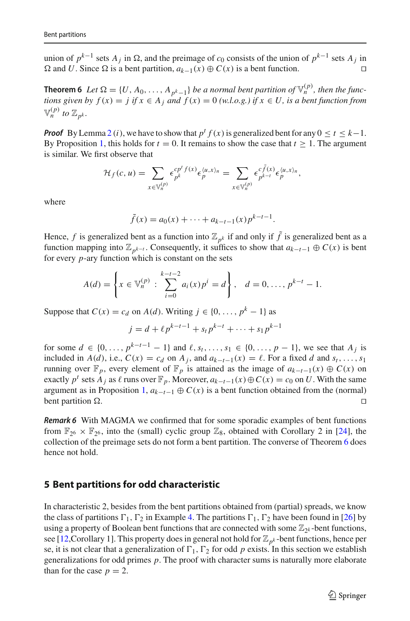union of  $p^{k-1}$  sets  $A_j$  in  $\Omega$ , and the preimage of  $c_0$  consists of the union of  $p^{k-1}$  sets  $A_j$  in  $Ω$  and *U*. Since  $Ω$  is a bent partition,  $a_{k-1}(x) ⊕ C(x)$  is a bent function.  $□$ 

<span id="page-12-1"></span>**Theorem 6** *Let*  $\Omega = \{U, A_0, \ldots, A_{p^k-1}\}$  *be a normal bent partition of*  $\mathbb{V}_n^{(p)}$ *, then the functions given by*  $f(x) = j$  *if*  $x \in A_j$  *and*  $f(x) = 0$  *(w.l.o.g.) if*  $x \in U$ *, is a bent function from*  $\mathbb{V}_n^{(p)}$  *to*  $\mathbb{Z}_{n^k}$ *.* 

*Proof* By Lemma [2](#page-11-1) (*i*), we have to show that  $p^t f(x)$  is generalized bent for any  $0 \le t \le k-1$ . By Proposition [1,](#page-11-3) this holds for  $t = 0$ . It remains to show the case that  $t \ge 1$ . The argument is similar. We first observe that

$$
\mathcal{H}_f(c, u) = \sum_{x \in \mathbb{V}_n^{(p)}} \epsilon_{p^k}^{cp^t f(x)} \epsilon_p^{\langle u, x \rangle_n} = \sum_{x \in \mathbb{V}_n^{(p)}} \epsilon_{p^{k-t}}^{c \tilde{f}(x)} \epsilon_{p}^{\langle u, x \rangle_n},
$$

where

$$
\tilde{f}(x) = a_0(x) + \dots + a_{k-t-1}(x) p^{k-t-1}.
$$

Hence, *f* is generalized bent as a function into  $\mathbb{Z}_{p^k}$  if and only if  $\tilde{f}$  is generalized bent as a function mapping into  $\mathbb{Z}_{p^{k-t}}$ . Consequently, it suffices to show that  $a_{k-t-1} \oplus C(x)$  is bent for every *p*-ary function which is constant on the sets

$$
A(d) = \left\{ x \in \mathbb{V}_n^{(p)} : \sum_{i=0}^{k-t-2} a_i(x) p^i = d \right\}, \quad d = 0, \dots, p^{k-t} - 1.
$$

Suppose that  $C(x) = c_d$  on  $A(d)$ . Writing  $j \in \{0, ..., p^k - 1\}$  as

$$
j = d + \ell p^{k-t-1} + s_t p^{k-t} + \dots + s_1 p^{k-1}
$$

for some  $d \in \{0, ..., p^{k-t-1} - 1\}$  and  $\ell, s_t, ..., s_1 \in \{0, ..., p - 1\}$ , we see that  $A_j$  is included in *A*(*d*), i.e.,  $C(x) = c_d$  on  $A_j$ , and  $a_{k-t-1}(x) = \ell$ . For a fixed *d* and  $s_t, \ldots, s_1$ running over  $\mathbb{F}_p$ , every element of  $\mathbb{F}_p$  is attained as the image of  $a_{k-t-1}(x) \oplus C(x)$  on exactly  $p^t$  sets  $A_j$  as  $\ell$  runs over  $\mathbb{F}_p$ . Moreover,  $a_{k-t-1}(x) \oplus C(x) = c_0$  on *U*. With the same argument as in Proposition [1,](#page-11-3)  $a_{k-t-1} ⊕ C(x)$  is a bent function obtained from the (normal) bent partition Ω.  $□$ bent partition  $\Omega$ .

*Remark 6* With MAGMA we confirmed that for some sporadic examples of bent functions from  $\mathbb{F}_{26} \times \mathbb{F}_{26}$ , into the (small) cyclic group  $\mathbb{Z}_8$ , obtained with Corollary 2 in [\[24\]](#page-19-20), the collection of the preimage sets do not form a bent partition. The converse of Theorem [6](#page-12-1) does hence not hold.

### <span id="page-12-0"></span>**5 Bent partitions for odd characteristic**

In characteristic 2, besides from the bent partitions obtained from (partial) spreads, we know the class of partitions  $\Gamma_1$ ,  $\Gamma_2$  in Example [4.](#page-7-2) The partitions  $\Gamma_1$ ,  $\Gamma_2$  have been found in [\[26](#page-19-6)] by using a property of Boolean bent functions that are connected with some  $\mathbb{Z}_{2k}$ -bent functions, see [\[12,](#page-19-11)Corollary 1]. This property does in general not hold for  $\mathbb{Z}_{p^k}$ -bent functions, hence per se, it is not clear that a generalization of  $\Gamma_1$ ,  $\Gamma_2$  for odd *p* exists. In this section we establish generalizations for odd primes *p*. The proof with character sums is naturally more elaborate than for the case  $p = 2$ .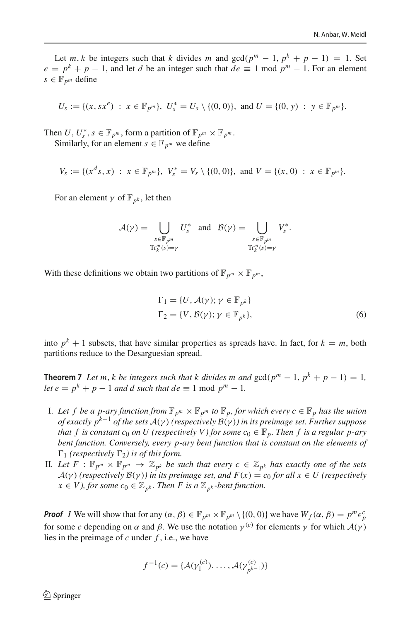Let *m*, *k* be integers such that *k* divides *m* and  $gcd(p^m - 1, p^k + p - 1) = 1$ . Set  $e = p^k + p - 1$ , and let *d* be an integer such that  $de \equiv 1 \text{ mod } p^m - 1$ . For an element  $s \in \mathbb{F}_{p^m}$  define

$$
U_s := \{ (x, sx^e) : x \in \mathbb{F}_{p^m} \}, \ U_s^* = U_s \setminus \{ (0, 0) \}, \text{ and } U = \{ (0, y) : y \in \mathbb{F}_{p^m} \}.
$$

Then *U*,  $U_s^*$ ,  $s \in \mathbb{F}_{p^m}$ , form a partition of  $\mathbb{F}_{p^m} \times \mathbb{F}_{p^m}$ . Similarly, for an element  $s \in \mathbb{F}_{p^m}$  we define

$$
V_s := \{ (x^d s, x) : x \in \mathbb{F}_{p^m} \}, V_s^* = V_s \setminus \{ (0, 0) \}, \text{ and } V = \{ (x, 0) : x \in \mathbb{F}_{p^m} \}.
$$

For an element  $\gamma$  of  $\mathbb{F}_{p^k}$ , let then

$$
\mathcal{A}(\gamma) = \bigcup_{\substack{s \in \mathbb{F}_{p^m} \\ \mathrm{Tr}_k^m(s) = \gamma}} U_s^* \quad \text{and} \quad \mathcal{B}(\gamma) = \bigcup_{\substack{s \in \mathbb{F}_{p^m} \\ \mathrm{Tr}_k^m(s) = \gamma}} V_s^*.
$$

With these definitions we obtain two partitions of  $\mathbb{F}_{p^m} \times \mathbb{F}_{p^m}$ ,

<span id="page-13-1"></span><span id="page-13-0"></span>
$$
\Gamma_1 = \{U, \mathcal{A}(\gamma); \gamma \in \mathbb{F}_{p^k}\}
$$
  
\n
$$
\Gamma_2 = \{V, \mathcal{B}(\gamma); \gamma \in \mathbb{F}_{p^k}\},
$$
\n(6)

into  $p^k + 1$  subsets, that have similar properties as spreads have. In fact, for  $k = m$ , both partitions reduce to the Desarguesian spread.

**Theorem 7** *Let m, k be integers such that k divides m and*  $gcd(p^m - 1, p^k + p - 1) = 1$ , *let*  $e = p^k + p - 1$  *and d such that de*  $\equiv 1 \mod p^m - 1$ *.* 

- I. Let f be a p-ary function from  $\mathbb{F}_{p^m} \times \mathbb{F}_{p^m}$  to  $\mathbb{F}_p$ , for which every  $c \in \mathbb{F}_p$  has the union *of exactly pk*−<sup>1</sup> *of the sets <sup>A</sup>*(γ ) *(respectively <sup>B</sup>*(γ )*) in its preimage set. Further suppose that f is constant c<sub>0</sub> on U (respectively V) for some c<sub>0</sub>*  $\in \mathbb{F}_p$ *. Then f is a regular p-ary bent function. Conversely, every p-ary bent function that is constant on the elements of*  $\Gamma_1$  (respectively  $\Gamma_2$ ) is of this form.
- II. Let  $F : \mathbb{F}_{p^m} \times \mathbb{F}_{p^m} \to \mathbb{Z}_{p^k}$  be such that every  $c \in \mathbb{Z}_{p^k}$  has exactly one of the sets *A*( $\gamma$ ) (*respectively B*( $\gamma$ )) *in its preimage set, and*  $F(x) = c_0$  *for all*  $x \in U$  (*respectively x* ∈ *V*), for some  $c_0$  ∈  $\mathbb{Z}_{p^k}$ . Then *F* is a  $\mathbb{Z}_{p^k}$ -bent function.

*Proof I* We will show that for any  $(\alpha, \beta) \in \mathbb{F}_{p^m} \times \mathbb{F}_{p^m} \setminus \{(0, 0)\}$  we have  $W_f(\alpha, \beta) = p^m \epsilon_p^c$ for some *c* depending on  $\alpha$  and  $\beta$ . We use the notation  $\gamma^{(c)}$  for elements  $\gamma$  for which  $\mathcal{A}(\gamma)$ lies in the preimage of *c* under *f* , i.e., we have

$$
f^{-1}(c) = \{ \mathcal{A}(\gamma_1^{(c)}), \dots, \mathcal{A}(\gamma_{p^{k-1}}^{(c)}) \}
$$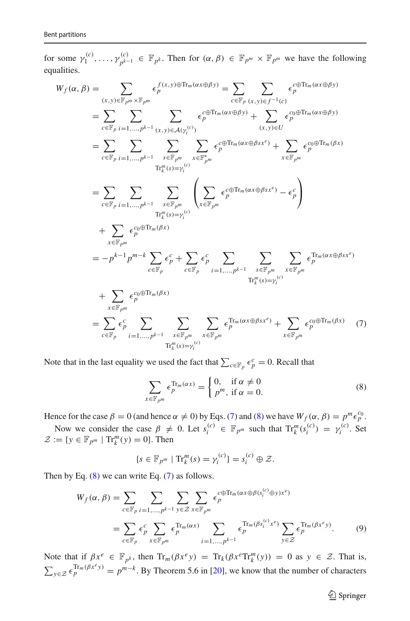for some  $\gamma_1^{(c)}, \ldots, \gamma_{p^{k-1}}^{(c)} \in \mathbb{F}_{p^k}$ . Then for  $(\alpha, \beta) \in \mathbb{F}_{p^m} \times \mathbb{F}_{p^m}$  we have the following equalities.

$$
W_f(\alpha, \beta) = \sum_{(x, y) \in \mathbb{F}_{p^m} \times \mathbb{F}_{p^m}} \epsilon_p^{f(x, y) \oplus \text{Tr}_m(\alpha x \oplus \beta y)} = \sum_{c \in \mathbb{F}_p} \sum_{(x, y) \in f^{-1}(c)} \epsilon_p^{c \oplus \text{Tr}_m(\alpha x \oplus \beta y)}
$$
  
\n
$$
= \sum_{c \in \mathbb{F}_p} \sum_{i=1,...,p^{k-1}} \sum_{(x, y) \in \mathcal{A}(Y_i^{(c)})} \epsilon_p^{c \oplus \text{Tr}_m(\alpha x \oplus \beta y)} + \sum_{(x, y) \in U} \epsilon_p^{c \oplus \text{Tr}_m(\alpha x \oplus \beta y)}
$$
  
\n
$$
= \sum_{c \in \mathbb{F}_p} \sum_{i=1,...,p^{k-1}} \sum_{s \in \mathbb{F}_{p^m}} \sum_{x \in \mathbb{F}_{p^m}} \epsilon_p^{c \oplus \text{Tr}_m(\alpha x \oplus \beta s x^c)} + \sum_{x \in \mathbb{F}_{p^m}} \epsilon_p^{c \oplus \text{Tr}_m(\beta x)}
$$
  
\n
$$
= \sum_{c \in \mathbb{F}_p} \sum_{i=1,...,p^{k-1}} \sum_{s \in \mathbb{F}_{p^m}} \sum_{s \in \mathbb{F}_{p^m}} \left( \sum_{x \in \mathbb{F}_{p^m}} \epsilon_p^{c \oplus \text{Tr}_m(\alpha x \oplus \beta s x^c)} - \epsilon_p^c \right)
$$
  
\n
$$
+ \sum_{x \in \mathbb{F}_{p^m}} \epsilon_p^{c_0 \oplus \text{Tr}_m(\beta x)}
$$
  
\n
$$
= -p^{k-1} p^{m-k} \sum_{c \in \mathbb{F}_p} \epsilon_p^c + \sum_{c \in \mathbb{F}_p} \epsilon_p^c \sum_{i=1,...,p^{k-1}} \sum_{s \in \mathbb{F}_{p^m}} \sum_{x \in \mathbb{F}_{p^m}} \epsilon_p^{\text{Tr}_m(\alpha x \oplus \beta s x^c)} + \sum_{x \in \mathbb{F}_{p^m}} \epsilon_p^{c_0 \oplus \text{Tr}_m(\beta x)} \left( 7 \right)
$$
  
\n
$$
+ \sum_{c \in \mathbb{F}_p
$$

Note that in the last equality we used the fact that  $\sum_{c \in \mathbb{F}_p} \epsilon_p^c = 0$ . Recall that

<span id="page-14-1"></span><span id="page-14-0"></span>
$$
\sum_{x \in \mathbb{F}_{p^m}} \epsilon_{p^m}^{\text{Tr}_m(\alpha x)} = \begin{cases} 0, & \text{if } \alpha \neq 0 \\ p^m, & \text{if } \alpha = 0. \end{cases}
$$
 (8)

Hence for the case  $\beta = 0$  (and hence  $\alpha \neq 0$ ) by Eqs. [\(7\)](#page-14-0) and [\(8\)](#page-14-1) we have  $W_f(\alpha, \beta) = p^m \epsilon_p^{c_0}$ .

Now we consider the case  $\beta \neq 0$ . Let  $s_i^{(c)} \in \mathbb{F}_{p^m}$  such that  $Tr_k^m(s_i^{(c)}) = \gamma_i^{(c)}$ . Set  $\mathcal{Z} := \{ y \in \mathbb{F}_{p^m} \mid \text{Tr}_k^m(y) = 0 \}.$  Then

$$
\{s \in \mathbb{F}_{p^m} \mid \text{Tr}_k^m(s) = \gamma_i^{(c)}\} = s_i^{(c)} \oplus \mathcal{Z}.
$$

Then by Eq.  $(8)$  we can write Eq.  $(7)$  as follows.

$$
W_f(\alpha, \beta) = \sum_{c \in \mathbb{F}_p} \sum_{i=1,\dots,p^{k-1}} \sum_{y \in \mathcal{Z}} \sum_{x \in \mathbb{F}_{p^m}} \epsilon_p^{c \oplus \text{Tr}_m(\alpha x \oplus \beta(s_i^{(c)} \oplus y) x^e)}
$$
  
= 
$$
\sum_{c \in \mathbb{F}_p} \epsilon_p^c \sum_{x \in \mathbb{F}_{p^m}} \epsilon_p^{\text{Tr}_m(\alpha x)} \sum_{i=1,\dots,p^{k-1}} \epsilon_p^{\text{Tr}_m(\beta s_i^{(c)} x^e)} \sum_{y \in \mathcal{Z}} \epsilon_p^{\text{Tr}_m(\beta x^e y)}.
$$
 (9)

Note that if  $\beta x^e \in \mathbb{F}_{p^k}$ , then  $\text{Tr}_m(\beta x^e y) = \text{Tr}_k(\beta x^e \text{Tr}_k^m(y)) = 0$  as  $y \in \mathcal{Z}$ . That is,  $\sum_{y \in \mathcal{Z}} \epsilon_p^{\text{Tr}_m(\beta x^e y)} = p^{m-k}$ . By Theorem 5.6 in [\[20\]](#page-19-21), we know that the number of characters

<span id="page-14-2"></span> $\hat{\mathfrak{D}}$  Springer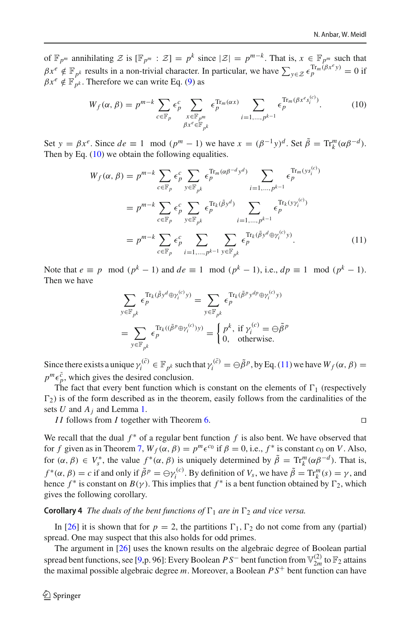of  $\mathbb{F}_{p^m}$  annihilating  $\mathcal{Z}$  is  $[\mathbb{F}_{p^m} : \mathcal{Z}] = p^k$  since  $|\mathcal{Z}| = p^{m-k}$ . That is,  $x \in \mathbb{F}_{p^m}$  such that  $\beta x^e \notin \mathbb{F}_{p^k}$  results in a non-trivial character. In particular, we have  $\sum_{y \in \mathcal{Z}} \epsilon_p^{\text{Tr}_m(\beta x^e y)} = 0$  if  $\beta x^e \notin \mathbb{F}_{p^k}$ . Therefore we can write Eq. [\(9\)](#page-14-2) as

<span id="page-15-0"></span>
$$
W_f(\alpha, \beta) = p^{m-k} \sum_{c \in \mathbb{F}_p} \epsilon_p^c \sum_{\substack{x \in \mathbb{F}_{p^m} \\ \beta x^e \in \mathbb{F}_{p^k}}} \epsilon_p^{\text{Tr}_m(\alpha x)} \sum_{i=1,\dots,p^{k-1}} \epsilon_p^{\text{Tr}_m(\beta x^e s_i^{(c)})}.
$$
 (10)

Set  $y = \beta x^e$ . Since  $de \equiv 1 \mod (p^m - 1)$  we have  $x = (\beta^{-1}y)^d$ . Set  $\tilde{\beta} = \text{Tr}_k^m(\alpha \beta^{-d})$ . Then by Eq. [\(10\)](#page-15-0) we obtain the following equalities.

$$
W_f(\alpha, \beta) = p^{m-k} \sum_{c \in \mathbb{F}_p} \epsilon_p^c \sum_{y \in \mathbb{F}_{p^k}} \epsilon_p^{\text{Tr}_m(\alpha \beta^{-d} y^d)} \sum_{i=1,\dots,p^{k-1}} \epsilon_p^{\text{Tr}_m(y s_i^{(c)})}
$$
  
\n
$$
= p^{m-k} \sum_{c \in \mathbb{F}_p} \epsilon_p^c \sum_{y \in \mathbb{F}_{p^k}} \epsilon_p^{\text{Tr}_k(\tilde{\beta} y^d)} \sum_{i=1,\dots,p^{k-1}} \epsilon_p^{\text{Tr}_k(y \gamma_i^{(c)})}
$$
  
\n
$$
= p^{m-k} \sum_{c \in \mathbb{F}_p} \epsilon_p^c \sum_{i=1,\dots,p^{k-1}} \sum_{y \in \mathbb{F}_{p^k}} \epsilon_p^{\text{Tr}_k(\tilde{\beta} y^d \oplus \gamma_i^{(c)} y)}.
$$
\n(11)

Note that  $e \equiv p \mod (p^k - 1)$  and  $de \equiv 1 \mod (p^k - 1)$ , i.e.,  $dp \equiv 1 \mod (p^k - 1)$ . Then we have

$$
\sum_{y \in \mathbb{F}_{p^k}} \epsilon_p^{\text{Tr}_k(\tilde{\beta}y^d \oplus \gamma_i^{(c)} y)} = \sum_{y \in \mathbb{F}_{p^k}} \epsilon_p^{\text{Tr}_k(\tilde{\beta}^p y^{dp} \oplus \gamma_i^{(c)} y)}
$$
\n
$$
= \sum_{y \in \mathbb{F}_{p^k}} \epsilon_p^{\text{Tr}_k((\tilde{\beta}^p \oplus \gamma_i^{(c)}) y)} = \begin{cases} p^k, & \text{if } \gamma_i^{(c)} = \ominus \tilde{\beta}^p \\ 0, & \text{otherwise.} \end{cases}
$$

Since there exists a unique  $\gamma_i^{(\tilde{c})} \in \mathbb{F}_{p^k}$  such that  $\gamma_i^{(\tilde{c})} = \bigoplus \tilde{\beta}^p$ , by Eq. [\(11\)](#page-15-1) we have  $W_f(\alpha, \beta) =$  $p^m \epsilon_p^{\tilde{c}}$ , which gives the desired conclusion.

The fact that every bent function which is constant on the elements of  $\Gamma_1$  (respectively  $\Gamma_2$ ) is of the form described as in the theorem, easily follows from the cardinalities of the sets *U* and *Aj* and Lemma [1.](#page-7-0)

*I I* follows from *I* together with Theorem [6.](#page-12-1)

<span id="page-15-1"></span>
$$
\Box
$$

We recall that the dual *f*<sup>∗</sup> of a regular bent function *f* is also bent. We have observed that for *f* given as in Theorem [7,](#page-13-1)  $W_f(\alpha, \beta) = p^m \epsilon^{c_0}$  if  $\beta = 0$ , i.e.,  $f^*$  is constant  $c_0$  on *V*. Also, for  $(\alpha, \beta) \in V_s^*$ , the value  $f^*(\alpha, \beta)$  is uniquely determined by  $\tilde{\beta} = \text{Tr}_k^m(\alpha \beta^{-d})$ . That is, *f* \*( $\alpha$ ,  $\beta$ ) = *c* if and only if  $\tilde{\beta}^p = \bigoplus \gamma_i^{(c)}$ . By definition of *V<sub>s</sub>*, we have  $\tilde{\beta} = \text{Tr}_k^m(s) = \gamma$ , and hence  $f^*$  is constant on  $B(\gamma)$ . This implies that  $f^*$  is a bent function obtained by  $\Gamma_2$ , which gives the following corollary.

**Corollary 4** *The duals of the bent functions of*  $\Gamma_1$  *are in*  $\Gamma_2$  *and vice versa.* 

In [\[26\]](#page-19-6) it is shown that for  $p = 2$ , the partitions  $\Gamma_1$ ,  $\Gamma_2$  do not come from any (partial) spread. One may suspect that this also holds for odd primes.

The argument in [\[26](#page-19-6)] uses the known results on the algebraic degree of Boolean partial spread bent functions, see [\[9](#page-19-2),p. 96]: Every Boolean  $PS^-$  bent function from  $\mathbb{V}_{2m}^{(2)}$  to  $\mathbb{F}_2$  attains the maximal possible algebraic degree *m*. Moreover, a Boolean *P S*+ bent function can have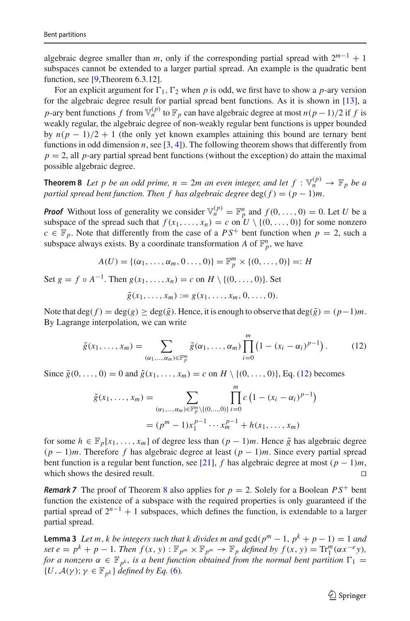algebraic degree smaller than *m*, only if the corresponding partial spread with  $2^{m-1} + 1$ subspaces cannot be extended to a larger partial spread. An example is the quadratic bent function, see [\[9,](#page-19-2)Theorem 6.3.12].

For an explicit argument for  $\Gamma_1$ ,  $\Gamma_2$  when p is odd, we first have to show a p-ary version for the algebraic degree result for partial spread bent functions. As it is shown in [\[13](#page-19-22)], a *p*-ary bent functions *f* from  $\mathbb{V}_n^{(p)}$  to  $\mathbb{F}_p$  can have algebraic degree at most *n*(*p* − 1)/2 if *f* is weakly regular, the algebraic degree of non-weakly regular bent functions is upper bounded by  $n(p - 1)/2 + 1$  (the only yet known examples attaining this bound are ternary bent functions in odd dimension  $n$ , see  $[3, 4]$  $[3, 4]$  $[3, 4]$  $[3, 4]$ ). The following theorem shows that differently from  $p = 2$ , all *p*-ary partial spread bent functions (without the exception) do attain the maximal possible algebraic degree.

<span id="page-16-1"></span>**Theorem 8** Let p be an odd prime,  $n = 2m$  an even integer, and let  $f : \mathbb{V}_n^{(p)} \to \mathbb{F}_p$  be a *partial spread bent function. Then f has algebraic degree* deg( $f$ ) =  $(p - 1)m$ .

*Proof* Without loss of generality we consider  $\mathbb{V}_n^{(p)} = \mathbb{F}_p^n$  and  $f(0, \ldots, 0) = 0$ . Let *U* be a subspace of the spread such that  $f(x_1,...,x_n) = c$  on  $U \setminus \{(0,...,0)\}$  for some nonzero  $c \in \mathbb{F}_p$ . Note that differently from the case of a  $PS^+$  bent function when  $p = 2$ , such a subspace always exists. By a coordinate transformation *A* of  $\mathbb{F}_p^n$ , we have

$$
A(U) = \{(\alpha_1, \ldots, \alpha_m, 0 \ldots, 0)\} = \mathbb{F}_p^m \times \{ (0, \ldots, 0) \} =: H
$$

Set  $g = f \circ A^{-1}$ . Then  $g(x_1, ..., x_n) = c$  on  $H \setminus \{(0, ..., 0)\}$ . Set

<span id="page-16-0"></span>
$$
\tilde{g}(x_1,\ldots,x_m):=g(x_1,\ldots,x_m,0,\ldots,0).
$$

Note that deg( $f$ ) = deg( $g$ ) ≥ deg( $\tilde{g}$ ). Hence, it is enough to observe that deg( $\tilde{g}$ ) = ( $p-1$ )*m*. By Lagrange interpolation, we can write

$$
\tilde{g}(x_1,\ldots,x_m)=\sum_{(\alpha_1,\ldots,\alpha_m)\in\mathbb{F}_p^m}\tilde{g}(\alpha_1,\ldots,\alpha_m)\prod_{i=0}^m\left(1-(x_i-\alpha_i)^{p-1}\right). \hspace{1cm} (12)
$$

Since  $\tilde{g}(0, ..., 0) = 0$  and  $\tilde{g}(x_1, ..., x_m) = c$  on  $H \setminus \{(0, ..., 0)\},$  Eq. [\(12\)](#page-16-0) becomes

$$
\tilde{g}(x_1, ..., x_m) = \sum_{(\alpha_1, ..., \alpha_m) \in \mathbb{F}_p^m \setminus \{(0, ..., 0)\}} \prod_{i=0}^m c \left(1 - (x_i - \alpha_i)^{p-1}\right)
$$

$$
= (p^m - 1)x_1^{p-1} \cdots x_m^{p-1} + h(x_1, ..., x_m)
$$

for some  $h \in \mathbb{F}_p[x_1,\ldots,x_m]$  of degree less than  $(p-1)m$ . Hence  $\tilde{g}$  has algebraic degree (*p* − 1)*m*. Therefore *f* has algebraic degree at least (*p* − 1)*m*. Since every partial spread bent function is a regular bent function, see [\[21\]](#page-19-4), *f* has algebraic degree at most  $(p-1)m$ , which shows the desired result.

**Remark 7** The proof of Theorem [8](#page-16-1) also applies for  $p = 2$ . Solely for a Boolean  $PS^+$  bent function the existence of a subspace with the required properties is only guaranteed if the partial spread of  $2^{n-1} + 1$  subspaces, which defines the function, is extendable to a larger partial spread.

<span id="page-16-2"></span>**Lemma 3** *Let m, k be integers such that k divides m and*  $gcd(p^m - 1, p^k + p - 1) = 1$  *and* set  $e = p^k + p - 1$ . Then  $f(x, y) : \mathbb{F}_{p^m} \times \mathbb{F}_{p^m} \to \mathbb{F}_p$  defined by  $f(x, y) = \text{Tr}_1^m(\alpha x^{-e}y)$ , *for a nonzero*  $\alpha \in \mathbb{F}_{p^k}$ , *is a bent function obtained from the normal bent partition*  $\Gamma_1 =$  $\{U, \mathcal{A}(\gamma)\,;\, \gamma \in \mathbb{F}_{p^k}\}\$  *defined by Eq.* [\(6\)](#page-13-0).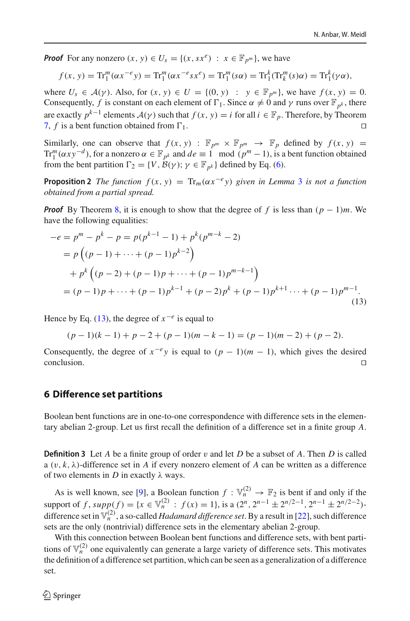*Proof* For any nonzero  $(x, y) \in U_s = \{(x, sx^e) : x \in \mathbb{F}_{p^m}\}\)$ , we have

$$
f(x, y) = \text{Tr}_1^m(\alpha x^{-e} y) = \text{Tr}_1^m(\alpha x^{-e} s x^e) = \text{Tr}_1^m(s \alpha) = \text{Tr}_1^k(\text{Tr}_k^m(s) \alpha) = \text{Tr}_1^k(\gamma \alpha),
$$

where  $U_s \in A(\gamma)$ . Also, for  $(x, y) \in U = \{(0, y) : y \in \mathbb{F}_{p^m}\}$ , we have  $f(x, y) = 0$ . Consequently, *f* is constant on each element of  $\Gamma_1$ . Since  $\alpha \neq 0$  and  $\gamma$  runs over  $\mathbb{F}_{p^k}$ , there are exactly  $p^{k-1}$  elements  $A(\gamma)$  such that  $f(x, y) = i$  for all  $i \in \mathbb{F}_p$ . Therefore, by Theorem 7. *f* is a bent function obtained from  $\Gamma_1$ . [7,](#page-13-1) f is a bent function obtained from  $\Gamma_1$ .

Similarly, one can observe that  $f(x, y)$ :  $\mathbb{F}_{p^m} \times \mathbb{F}_{p^m} \to \mathbb{F}_p$  defined by  $f(x, y)$  = Tr<sub>*m*</sub><sup>*m*</sup>( $\alpha xy^{-d}$ ), for a nonzero  $\alpha \in \mathbb{F}_{p^k}$  and  $de \equiv 1 \mod (p^m - 1)$ , is a bent function obtained from the bent partition  $\Gamma_2 = \{V, \mathcal{B}(\gamma) \colon \gamma \in \mathbb{F}_{p^k}\}\$  defined by Eq. [\(6\)](#page-13-0).

**Proposition 2** *The function*  $f(x, y) = Tr_m(\alpha x^{-e}y)$  *given in Lemma* [3](#page-16-2) *is not a function obtained from a partial spread.*

*Proof* By Theorem [8,](#page-16-1) it is enough to show that the degree of *f* is less than (*p* − 1)*m*. We have the following equalities:

$$
-e = pm - pk - p = p(pk-1 - 1) + pk(pm-k - 2)
$$
  
=  $p((p - 1) + \dots + (p - 1)pk-2)$   
+  $pk((p - 2) + (p - 1)p + \dots + (p - 1)pm-k-1)$   
=  $(p - 1)p + \dots + (p - 1)pk-1 + (p - 2)pk + (p - 1)pk+1 + \dots + (p - 1)pm-1.$  (13)

Hence by Eq. [\(13\)](#page-17-0), the degree of  $x^{-e}$  is equal to

<span id="page-17-0"></span>
$$
(p-1)(k-1) + p - 2 + (p-1)(m-k-1) = (p-1)(m-2) + (p-2).
$$

Consequently, the degree of  $x^{-e}y$  is equal to  $(p - 1)(m - 1)$ , which gives the desired conclusion.  $\Box$ conclusion.  $\Box$ 

#### **6 Difference set partitions**

Boolean bent functions are in one-to-one correspondence with difference sets in the elementary abelian 2-group. Let us first recall the definition of a difference set in a finite group *A*.

**Definition 3** Let *A* be a finite group of order v and let *D* be a subset of *A*. Then *D* is called a  $(v, k, \lambda)$ -difference set in *A* if every nonzero element of *A* can be written as a difference of two elements in  $D$  in exactly  $\lambda$  ways.

As is well known, see [\[9\]](#page-19-2), a Boolean function  $f : \mathbb{V}_n^{(2)} \to \mathbb{F}_2$  is bent if and only if the support of *f*,  $supp(f) = {x \in \mathbb{V}_n^{(2)} : f(x) = 1}$ , is a  $(2^n, 2^{n-1} \pm 2^{n/2-1}, 2^{n-1} \pm 2^{n/2-2})$ difference set in  $\mathbb{V}_n^{(2)}$ , a so-called *Hadamard difference set*. By a result in [\[22\]](#page-19-25), such difference sets are the only (nontrivial) difference sets in the elementary abelian 2-group.

With this connection between Boolean bent functions and difference sets, with bent partitions of  $\mathbb{V}_n^{(2)}$  one equivalently can generate a large variety of difference sets. This motivates the definition of a difference set partition, which can be seen as a generalization of a difference set.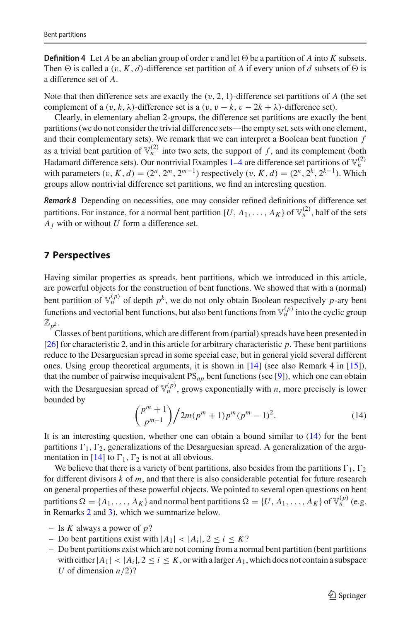**Definition 4** Let *A* be an abelian group of order v and let  $\Theta$  be a partition of *A* into *K* subsets. Then  $\Theta$  is called a  $(v, K, d)$ -difference set partition of *A* if every union of *d* subsets of  $\Theta$  is a difference set of *A*.

Note that then difference sets are exactly the  $(v, 2, 1)$ -difference set partitions of *A* (the set complement of a  $(v, k, \lambda)$ -difference set is a  $(v, v - k, v - 2k + \lambda)$ -difference set).

Clearly, in elementary abelian 2-groups, the difference set partitions are exactly the bent partitions (we do not consider the trivial difference sets—the empty set, sets with one element, and their complementary sets). We remark that we can interpret a Boolean bent function *f* as a trivial bent partition of  $\mathbb{V}_n^{(2)}$  into two sets, the support of *f*, and its complement (both Hadamard difference sets). Our nontrivial Examples  $1-4$  $1-4$  are difference set partitions of  $\mathbb{V}_n^{(2)}$ with parameters  $(v, K, d) = (2^n, 2^m, 2^{m-1})$  respectively  $(v, K, d) = (2^n, 2^k, 2^{k-1})$ . Which groups allow nontrivial difference set partitions, we find an interesting question.

*Remark 8* Depending on necessities, one may consider refined definitions of difference set partitions. For instance, for a normal bent partition  $\{U, A_1, \ldots, A_K\}$  of  $\mathbb{V}_n^{(2)}$ , half of the sets *Aj* with or without *U* form a difference set.

### **7 Perspectives**

Having similar properties as spreads, bent partitions, which we introduced in this article, are powerful objects for the construction of bent functions. We showed that with a (normal) bent partition of  $\mathbb{V}_n^{(p)}$  of depth  $p^k$ , we do not only obtain Boolean respectively *p*-ary bent functions and vectorial bent functions, but also bent functions from  $\mathbb{V}_n^{(p)}$  into the cyclic group  $\mathbb{Z}_{p^k}$ .

Classes of bent partitions, which are different from (partial) spreads have been presented in [\[26\]](#page-19-6) for characteristic 2, and in this article for arbitrary characteristic *p*. These bent partitions reduce to the Desarguesian spread in some special case, but in general yield several different ones. Using group theoretical arguments, it is shown in [\[14](#page-19-5)] (see also Remark 4 in [\[15](#page-19-3)]), that the number of pairwise inequivalent PS*ap* bent functions (see [\[9](#page-19-2)]), which one can obtain with the Desarguesian spread of  $\mathbb{V}_n^{(p)}$ , grows exponentially with *n*, more precisely is lower bounded by

<span id="page-18-0"></span>
$$
\binom{p^m+1}{p^{m-1}}/2m(p^m+1)p^m(p^m-1)^2.
$$
 (14)

It is an interesting question, whether one can obtain a bound similar to [\(14\)](#page-18-0) for the bent partitions  $\Gamma_1$ ,  $\Gamma_2$ , generalizations of the Desarguesian spread. A generalization of the argu-mentation in [\[14\]](#page-19-5) to  $\Gamma_1$ ,  $\Gamma_2$  is not at all obvious.

We believe that there is a variety of bent partitions, also besides from the partitions  $\Gamma_1$ ,  $\Gamma_2$ for different divisors *k* of *m*, and that there is also considerable potential for future research on general properties of these powerful objects. We pointed to several open questions on bent partitions  $\Omega = \{A_1, \ldots, A_K\}$  and normal bent partitions  $\overline{\Omega} = \{U, A_1, \ldots, A_K\}$  of  $\mathbb{V}_n^{(p)}$  (e.g. in Remarks [2](#page-8-0) and [3\)](#page-8-1), which we summarize below.

- Is *K* always a power of *p*?
- Do bent partitions exist with  $|A_1|$  <  $|A_i|$ ,  $2 \le i \le K$ ?
- Do bent partitions exist which are not coming from a normal bent partition (bent partitions with either  $|A_1| < |A_i|$ ,  $2 \le i \le K$ , or with a larger  $A_1$ , which does not contain a subspace *U* of dimension  $n/2$ ?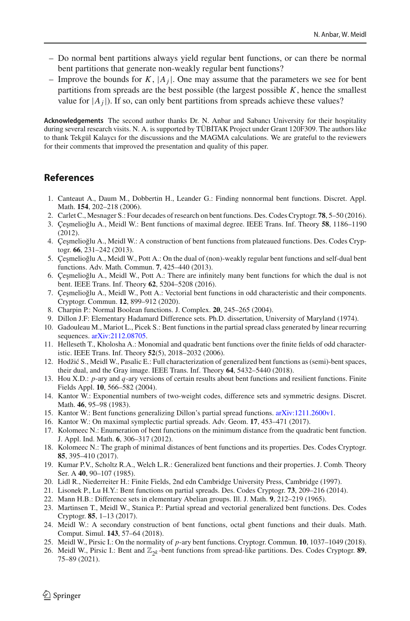- Do normal bent partitions always yield regular bent functions, or can there be normal bent partitions that generate non-weakly regular bent functions?
- Improve the bounds for  $K$ ,  $|A_i|$ . One may assume that the parameters we see for bent partitions from spreads are the best possible (the largest possible  $K$ , hence the smallest value for  $|A_j|$ ). If so, can only bent partitions from spreads achieve these values?

**Acknowledgements** The second author thanks Dr. N. Anbar and Sabancı University for their hospitality during several research visits. N. A. is supported by TÜBİTAK Project under Grant 120F309. The authors like to thank Tekgül Kalaycı for the discussions and the MAGMA calculations. We are grateful to the reviewers for their comments that improved the presentation and quality of this paper.

### **References**

- <span id="page-19-15"></span>1. Canteaut A., Daum M., Dobbertin H., Leander G.: Finding nonnormal bent functions. Discret. Appl. Math. **154**, 202–218 (2006).
- <span id="page-19-0"></span>2. Carlet C., Mesnager S.: Four decades of research on bent functions. Des. Codes Cryptogr. **78**, 5–50 (2016).
- <span id="page-19-23"></span>3. Çeşmelioğlu A., Meidl W.: Bent functions of maximal degree. IEEE Trans. Inf. Theory 58, 1186–1190 (2012).
- <span id="page-19-24"></span>4. Çeşmelioğlu A., Meidl W.: A construction of bent functions from plateaued functions. Des. Codes Cryptogr. **66**, 231–242 (2013).
- <span id="page-19-8"></span>5. Çeşmelioğlu A., Meidl W., Pott A.: On the dual of (non)-weakly regular bent functions and self-dual bent functions. Adv. Math. Commun. **7**, 425–440 (2013).
- <span id="page-19-9"></span>6. Çeşmelioğlu A., Meidl W., Pott A.: There are infinitely many bent functions for which the dual is not bent. IEEE Trans. Inf. Theory **62**, 5204–5208 (2016).
- <span id="page-19-12"></span>7. Çeşmelioğlu A., Meidl W., Pott A.: Vectorial bent functions in odd characteristic and their components. Cryptogr. Commun. **12**, 899–912 (2020).
- <span id="page-19-16"></span>8. Charpin P.: Normal Boolean functions. J. Complex. **20**, 245–265 (2004).
- <span id="page-19-2"></span>9. Dillon J.F: Elementary Hadamard Difference sets. Ph.D. dissertation, University of Maryland (1974).
- <span id="page-19-19"></span>10. Gadouleau M., Mariot L., Picek S.: Bent functions in the partial spread class generated by linear recurring sequences. [arXiv:2112.08705.](http://arxiv.org/abs/2112.08705)
- <span id="page-19-7"></span>11. Helleseth T., Kholosha A.: Monomial and quadratic bent functions over the finite fields of odd characteristic. IEEE Trans. Inf. Theory **52**(5), 2018–2032 (2006).
- <span id="page-19-11"></span>12. Hodžić S., Meidl W., Pasalic E.: Full characterization of generalized bent functions as (semi)-bent spaces, their dual, and the Gray image. IEEE Trans. Inf. Theory **64**, 5432–5440 (2018).
- <span id="page-19-22"></span>13. Hou X.D.: *p*-ary and *q*-ary versions of certain results about bent functions and resilient functions. Finite Fields Appl. **10**, 566–582 (2004).
- <span id="page-19-5"></span>14. Kantor W.: Exponential numbers of two-weight codes, difference sets and symmetric designs. Discret. Math. **46**, 95–98 (1983).
- <span id="page-19-3"></span>15. Kantor W.: Bent functions generalizing Dillon's partial spread functions. [arXiv:1211.2600v1.](http://arxiv.org/abs/1211.2600v1)
- <span id="page-19-18"></span>16. Kantor W.: On maximal symplectic partial spreads. Adv. Geom. **17**, 453–471 (2017).
- <span id="page-19-13"></span>17. Kolomeec N.: Enumeration of bent functions on the minimum distance from the quadratic bent function. J. Appl. Ind. Math. **6**, 306–317 (2012).
- <span id="page-19-14"></span>18. Kolomeec N.: The graph of minimal distances of bent functions and its properties. Des. Codes Cryptogr. **85**, 395–410 (2017).
- <span id="page-19-1"></span>19. Kumar P.V., Scholtz R.A., Welch L.R.: Generalized bent functions and their properties. J. Comb. Theory Ser. A **40**, 90–107 (1985).
- <span id="page-19-21"></span>20. Lidl R., Niederreiter H.: Finite Fields, 2nd edn Cambridge University Press, Cambridge (1997).
- <span id="page-19-4"></span>21. Lisonek P., Lu H.Y.: Bent functions on partial spreads. Des. Codes Cryptogr. **73**, 209–216 (2014).
- <span id="page-19-25"></span>22. Mann H.B.: Difference sets in elementary Abelian groups. Ill. J. Math. **9**, 212–219 (1965).
- <span id="page-19-10"></span>23. Martinsen T., Meidl W., Stanica P.: Partial spread and vectorial generalized bent functions. Des. Codes Cryptogr. **85**, 1–13 (2017).
- <span id="page-19-20"></span>24. Meidl W.: A secondary construction of bent functions, octal gbent functions and their duals. Math. Comput. Simul. **143**, 57–64 (2018).
- <span id="page-19-17"></span>25. Meidl W., Pirsic I.: On the normality of *p*-ary bent functions. Cryptogr. Commun. **10**, 1037–1049 (2018).
- <span id="page-19-6"></span>26. Meidl W., Pirsic I.: Bent and  $\mathbb{Z}_{2k}$ -bent functions from spread-like partitions. Des. Codes Cryptogr. **89**, 75–89 (2021).